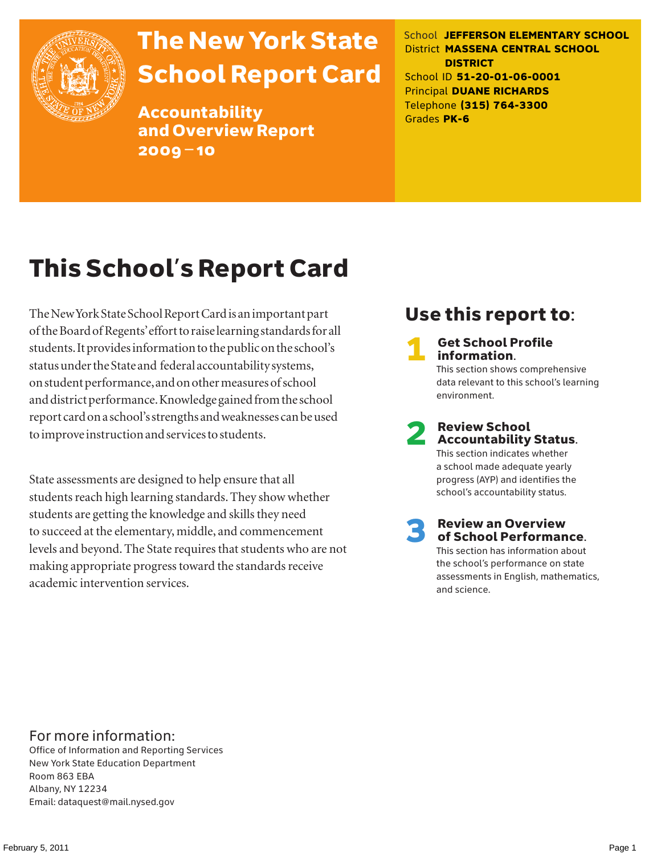

## The New York State School Report Card

Accountability and Overview Report 2009–10

School **JEFFERSON ELEMENTARY SCHOOL** District **MASSENA CENTRAL SCHOOL DISTRICT** School ID **51-20-01-06-0001** Principal **DUANE RICHARDS** Telephone **(315) 764-3300** Grades **PK-6**

## This School's Report Card

The New York State School Report Card is an important part of the Board of Regents' effort to raise learning standards for all students. It provides information to the public on the school's status under the State and federal accountability systems, on student performance, and on other measures of school and district performance. Knowledge gained from the school report card on a school's strengths and weaknesses can be used to improve instruction and services to students.

State assessments are designed to help ensure that all students reach high learning standards. They show whether students are getting the knowledge and skills they need to succeed at the elementary, middle, and commencement levels and beyond. The State requires that students who are not making appropriate progress toward the standards receive academic intervention services.

## Use this report to:

**Get School Profile** information. This section shows comprehensive data relevant to this school's learning environment.

2 Review School Accountability Status.

This section indicates whether a school made adequate yearly progress (AYP) and identifies the school's accountability status.

3 Review an Overview of School Performance. This section has information about the school's performance on state assessments in English, mathematics,

and science.

For more information:

Office of Information and Reporting Services New York State Education Department Room 863 EBA Albany, NY 12234 Email: dataquest@mail.nysed.gov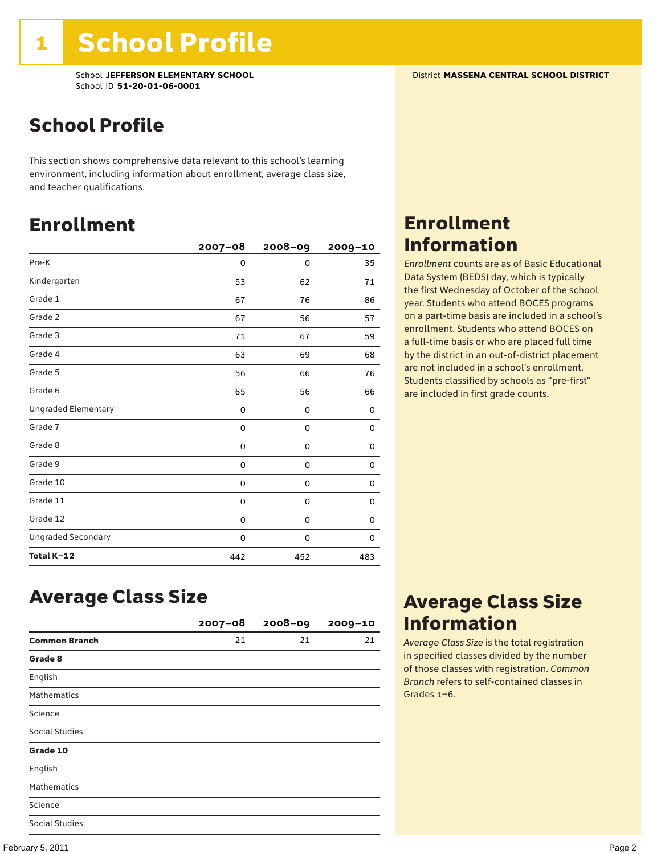School **JEFFERSON ELEMENTARY SCHOOL** District **MASSENA CENTRAL SCHOOL DISTRICT** School ID **51-20-01-06-0001**

## School Profile

This section shows comprehensive data relevant to this school's learning environment, including information about enrollment, average class size, and teacher qualifications.

## Enrollment

|                            | $2007 - 08$ | 2008-09     | 2009-10 |
|----------------------------|-------------|-------------|---------|
| Pre-K                      | 0           | $\mathbf 0$ | 35      |
| Kindergarten               | 53          | 62          | 71      |
| Grade 1                    | 67          | 76          | 86      |
| Grade 2                    | 67          | 56          | 57      |
| Grade 3                    | 71          | 67          | 59      |
| Grade 4                    | 63          | 69          | 68      |
| Grade 5                    | 56          | 66          | 76      |
| Grade 6                    | 65          | 56          | 66      |
| <b>Ungraded Elementary</b> | 0           | 0           | 0       |
| Grade 7                    | 0           | 0           | 0       |
| Grade 8                    | 0           | 0           | 0       |
| Grade 9                    | 0           | 0           | 0       |
| Grade 10                   | 0           | 0           | 0       |
| Grade 11                   | 0           | 0           | 0       |
| Grade 12                   | 0           | 0           | 0       |
| <b>Ungraded Secondary</b>  | 0           | 0           | 0       |
| Total K-12                 | 442         | 452         | 483     |

## Enrollment Information

*Enrollment* counts are as of Basic Educational Data System (BEDS) day, which is typically the first Wednesday of October of the school year. Students who attend BOCES programs on a part-time basis are included in a school's enrollment. Students who attend BOCES on a full-time basis or who are placed full time by the district in an out-of-district placement are not included in a school's enrollment. Students classified by schools as "pre-first" are included in first grade counts.

### Average Class Size

|                       | $2007 - 08$ | $2008 - 09$ | $2009 - 10$ |
|-----------------------|-------------|-------------|-------------|
| <b>Common Branch</b>  | 21          | 21          | 21          |
| Grade 8               |             |             |             |
| English               |             |             |             |
| <b>Mathematics</b>    |             |             |             |
| Science               |             |             |             |
| <b>Social Studies</b> |             |             |             |
| Grade 10              |             |             |             |
| English               |             |             |             |
| <b>Mathematics</b>    |             |             |             |
| Science               |             |             |             |
| <b>Social Studies</b> |             |             |             |

## Average Class Size Information

*Average Class Size* is the total registration in specified classes divided by the number of those classes with registration. *Common Branch* refers to self-contained classes in Grades 1–6.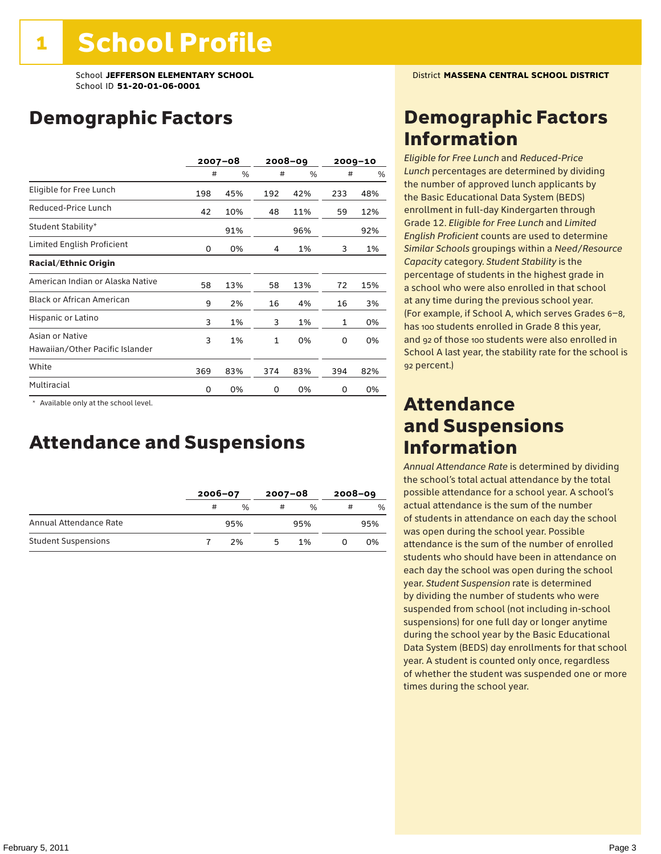School **JEFFERSON ELEMENTARY SCHOOL** District **MASSENA CENTRAL SCHOOL DISTRICT** School ID **51-20-01-06-0001**

## Demographic Factors

|                                                    | $2007 - 08$ |     | 2008-09      |     | $2009 - 10$ |     |
|----------------------------------------------------|-------------|-----|--------------|-----|-------------|-----|
|                                                    | #           | %   | #            | %   | #           | %   |
| Eligible for Free Lunch                            | 198         | 45% | 192          | 42% | 233         | 48% |
| Reduced-Price Lunch                                | 42          | 10% | 48           | 11% | 59          | 12% |
| Student Stability*                                 |             | 91% |              | 96% |             | 92% |
| Limited English Proficient                         | 0           | 0%  | 4            | 1%  | 3           | 1%  |
| <b>Racial/Ethnic Origin</b>                        |             |     |              |     |             |     |
| American Indian or Alaska Native                   | 58          | 13% | 58           | 13% | 72          | 15% |
| <b>Black or African American</b>                   | 9           | 2%  | 16           | 4%  | 16          | 3%  |
| Hispanic or Latino                                 | 3           | 1%  | 3            | 1%  | 1           | 0%  |
| Asian or Native<br>Hawaiian/Other Pacific Islander | 3           | 1%  | $\mathbf{1}$ | 0%  | 0           | 0%  |
| White                                              | 369         | 83% | 374          | 83% | 394         | 82% |
| Multiracial                                        | 0           | 0%  | 0            | 0%  | 0           | 0%  |

 \* Available only at the school level.

## Attendance and Suspensions

|                            |   | $2006 - 07$   |   | 2007-08       |   | $2008 - 09$ |  |
|----------------------------|---|---------------|---|---------------|---|-------------|--|
|                            | # | $\frac{0}{6}$ | # | $\frac{0}{6}$ | # | $\%$        |  |
| Annual Attendance Rate     |   | 95%           |   | 95%           |   | 95%         |  |
| <b>Student Suspensions</b> |   | 2%            | ካ | 1%            |   | 0%          |  |

## Demographic Factors Information

*Eligible for Free Lunch* and *Reduced*-*Price Lunch* percentages are determined by dividing the number of approved lunch applicants by the Basic Educational Data System (BEDS) enrollment in full-day Kindergarten through Grade 12. *Eligible for Free Lunch* and *Limited English Proficient* counts are used to determine *Similar Schools* groupings within a *Need*/*Resource Capacity* category. *Student Stability* is the percentage of students in the highest grade in a school who were also enrolled in that school at any time during the previous school year. (For example, if School A, which serves Grades 6–8, has 100 students enrolled in Grade 8 this year, and 92 of those 100 students were also enrolled in School A last year, the stability rate for the school is 92 percent.)

## Attendance and Suspensions Information

*Annual Attendance Rate* is determined by dividing the school's total actual attendance by the total possible attendance for a school year. A school's actual attendance is the sum of the number of students in attendance on each day the school was open during the school year. Possible attendance is the sum of the number of enrolled students who should have been in attendance on each day the school was open during the school year. *Student Suspension* rate is determined by dividing the number of students who were suspended from school (not including in-school suspensions) for one full day or longer anytime during the school year by the Basic Educational Data System (BEDS) day enrollments for that school year. A student is counted only once, regardless of whether the student was suspended one or more times during the school year.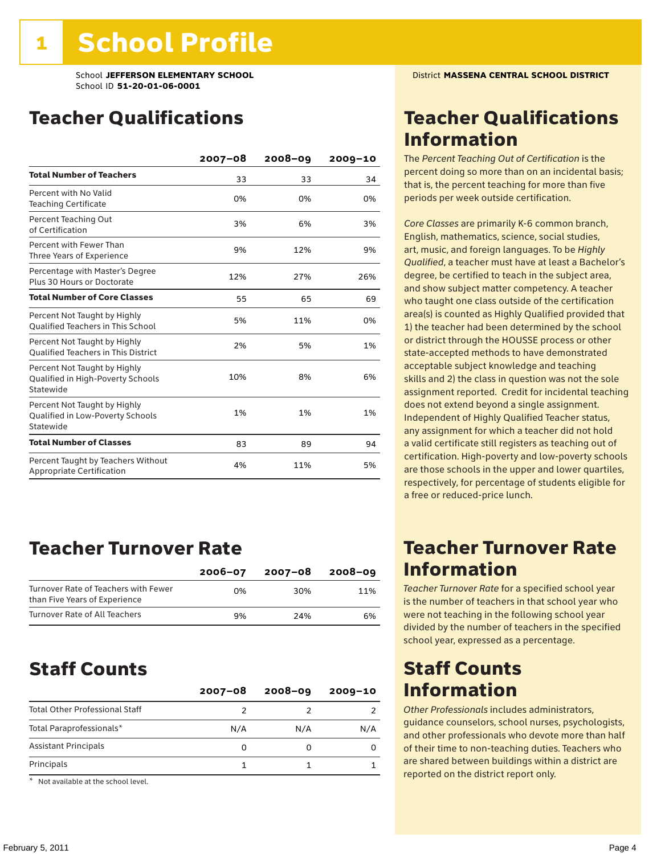School **JEFFERSON ELEMENTARY SCHOOL** District **MASSENA CENTRAL SCHOOL DISTRICT** School ID **51-20-01-06-0001**

## Teacher Qualifications

|                                                                                | $2007 - 08$ | 2008-09 | $2009 - 10$ |
|--------------------------------------------------------------------------------|-------------|---------|-------------|
| <b>Total Number of Teachers</b>                                                | 33          | 33      | 34          |
| Percent with No Valid<br><b>Teaching Certificate</b>                           | 0%          | 0%      | 0%          |
| Percent Teaching Out<br>of Certification                                       | 3%          | 6%      | 3%          |
| Percent with Fewer Than<br>Three Years of Experience                           | 9%          | 12%     | 9%          |
| Percentage with Master's Degree<br>Plus 30 Hours or Doctorate                  | 12%         | 27%     | 26%         |
| <b>Total Number of Core Classes</b>                                            | 55          | 65      | 69          |
| Percent Not Taught by Highly<br><b>Oualified Teachers in This School</b>       | 5%          | 11%     | 0%          |
| Percent Not Taught by Highly<br><b>Oualified Teachers in This District</b>     | 2%          | 5%      | 1%          |
| Percent Not Taught by Highly<br>Qualified in High-Poverty Schools<br>Statewide | 10%         | 8%      | 6%          |
| Percent Not Taught by Highly<br>Qualified in Low-Poverty Schools<br>Statewide  | 1%          | 1%      | 1%          |
| <b>Total Number of Classes</b>                                                 | 83          | 89      | 94          |
| Percent Taught by Teachers Without<br>Appropriate Certification                | 4%          | 11%     | 5%          |

## Teacher Turnover Rate

|                                                                       | $2006 - 07$ | 2007-08 | $2008 - 09$ |
|-----------------------------------------------------------------------|-------------|---------|-------------|
| Turnover Rate of Teachers with Fewer<br>than Five Years of Experience | በ%          | 30%     | 11%         |
| Turnover Rate of All Teachers                                         | 9%          | 24%     | 6%          |

## Staff Counts

|                                       | $2007 - 08$ | $2008 - 09$ | $2009 - 10$ |
|---------------------------------------|-------------|-------------|-------------|
| <b>Total Other Professional Staff</b> |             |             |             |
| Total Paraprofessionals*              | N/A         | N/A         | N/A         |
| <b>Assistant Principals</b>           | Ω           |             |             |
| Principals                            |             |             |             |

\* Not available at the school level.

## Teacher Qualifications Information

The *Percent Teaching Out of Certification* is the percent doing so more than on an incidental basis; that is, the percent teaching for more than five periods per week outside certification.

*Core Classes* are primarily K-6 common branch, English, mathematics, science, social studies, art, music, and foreign languages. To be *Highly Qualified*, a teacher must have at least a Bachelor's degree, be certified to teach in the subject area, and show subject matter competency. A teacher who taught one class outside of the certification area(s) is counted as Highly Qualified provided that 1) the teacher had been determined by the school or district through the HOUSSE process or other state-accepted methods to have demonstrated acceptable subject knowledge and teaching skills and 2) the class in question was not the sole assignment reported. Credit for incidental teaching does not extend beyond a single assignment. Independent of Highly Qualified Teacher status, any assignment for which a teacher did not hold a valid certificate still registers as teaching out of certification. High-poverty and low-poverty schools are those schools in the upper and lower quartiles, respectively, for percentage of students eligible for a free or reduced-price lunch.

## Teacher Turnover Rate Information

*Teacher Turnover Rate* for a specified school year is the number of teachers in that school year who were not teaching in the following school year divided by the number of teachers in the specified school year, expressed as a percentage.

## Staff Counts Information

*Other Professionals* includes administrators, guidance counselors, school nurses, psychologists, and other professionals who devote more than half of their time to non-teaching duties. Teachers who are shared between buildings within a district are reported on the district report only.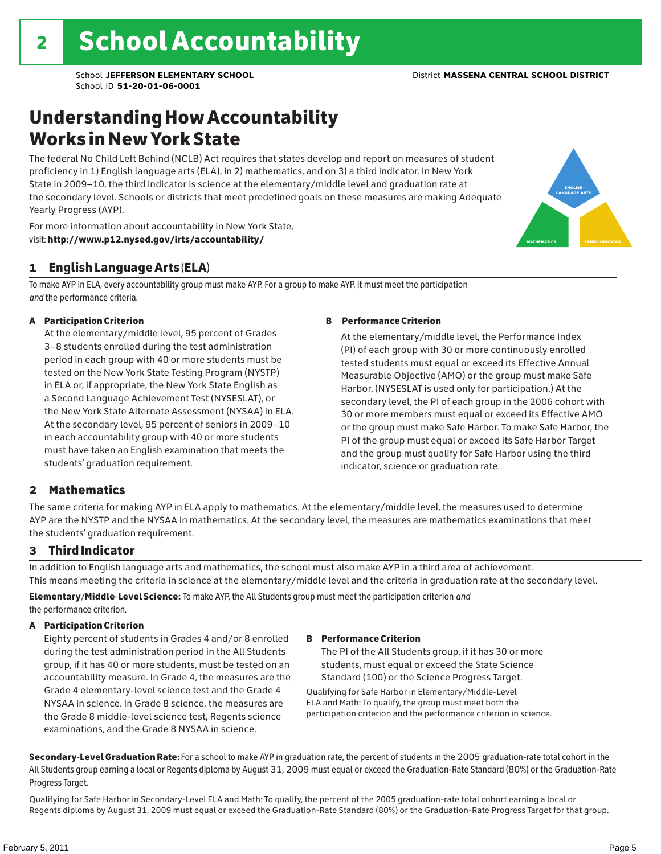english language arts

MATHEMATICS THIRD INDICATOR

## Understanding How Accountability Works in New York State

The federal No Child Left Behind (NCLB) Act requires that states develop and report on measures of student proficiency in 1) English language arts (ELA), in 2) mathematics, and on 3) a third indicator. In New York State in 2009–10, the third indicator is science at the elementary/middle level and graduation rate at the secondary level. Schools or districts that meet predefined goals on these measures are making Adequate Yearly Progress (AYP).



### 1 English Language Arts (ELA)

To make AYP in ELA, every accountability group must make AYP. For a group to make AYP, it must meet the participation *and* the performance criteria.

#### A Participation Criterion

At the elementary/middle level, 95 percent of Grades 3–8 students enrolled during the test administration period in each group with 40 or more students must be tested on the New York State Testing Program (NYSTP) in ELA or, if appropriate, the New York State English as a Second Language Achievement Test (NYSESLAT), or the New York State Alternate Assessment (NYSAA) in ELA. At the secondary level, 95 percent of seniors in 2009–10 in each accountability group with 40 or more students must have taken an English examination that meets the students' graduation requirement.

#### B Performance Criterion

At the elementary/middle level, the Performance Index (PI) of each group with 30 or more continuously enrolled tested students must equal or exceed its Effective Annual Measurable Objective (AMO) or the group must make Safe Harbor. (NYSESLAT is used only for participation.) At the secondary level, the PI of each group in the 2006 cohort with 30 or more members must equal or exceed its Effective AMO or the group must make Safe Harbor. To make Safe Harbor, the PI of the group must equal or exceed its Safe Harbor Target and the group must qualify for Safe Harbor using the third indicator, science or graduation rate.

#### 2 Mathematics

The same criteria for making AYP in ELA apply to mathematics. At the elementary/middle level, the measures used to determine AYP are the NYSTP and the NYSAA in mathematics. At the secondary level, the measures are mathematics examinations that meet the students' graduation requirement.

#### 3 Third Indicator

In addition to English language arts and mathematics, the school must also make AYP in a third area of achievement. This means meeting the criteria in science at the elementary/middle level and the criteria in graduation rate at the secondary level.

Elementary/Middle-Level Science: To make AYP, the All Students group must meet the participation criterion *and* the performance criterion.

#### A Participation Criterion

Eighty percent of students in Grades 4 and/or 8 enrolled during the test administration period in the All Students group, if it has 40 or more students, must be tested on an accountability measure. In Grade 4, the measures are the Grade 4 elementary-level science test and the Grade 4 NYSAA in science. In Grade 8 science, the measures are the Grade 8 middle-level science test, Regents science examinations, and the Grade 8 NYSAA in science.

#### B Performance Criterion

The PI of the All Students group, if it has 30 or more students, must equal or exceed the State Science Standard (100) or the Science Progress Target.

Qualifying for Safe Harbor in Elementary/Middle-Level ELA and Math: To qualify, the group must meet both the participation criterion and the performance criterion in science.

Secondary-Level Graduation Rate: For a school to make AYP in graduation rate, the percent of students in the 2005 graduation-rate total cohort in the All Students group earning a local or Regents diploma by August 31, 2009 must equal or exceed the Graduation-Rate Standard (80%) or the Graduation-Rate Progress Target.

Qualifying for Safe Harbor in Secondary-Level ELA and Math: To qualify, the percent of the 2005 graduation-rate total cohort earning a local or Regents diploma by August 31, 2009 must equal or exceed the Graduation-Rate Standard (80%) or the Graduation-Rate Progress Target for that group.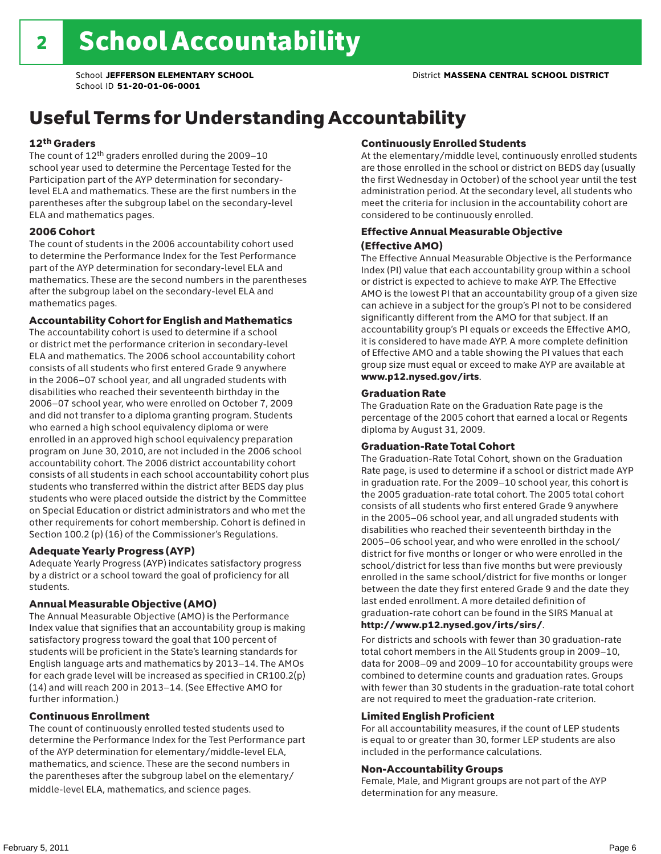## Useful Terms for Understanding Accountability

#### 12th Graders

The count of 12th graders enrolled during the 2009–10 school year used to determine the Percentage Tested for the Participation part of the AYP determination for secondarylevel ELA and mathematics. These are the first numbers in the parentheses after the subgroup label on the secondary-level ELA and mathematics pages.

#### 2006 Cohort

The count of students in the 2006 accountability cohort used to determine the Performance Index for the Test Performance part of the AYP determination for secondary-level ELA and mathematics. These are the second numbers in the parentheses after the subgroup label on the secondary-level ELA and mathematics pages.

#### Accountability Cohort for English and Mathematics

The accountability cohort is used to determine if a school or district met the performance criterion in secondary-level ELA and mathematics. The 2006 school accountability cohort consists of all students who first entered Grade 9 anywhere in the 2006–07 school year, and all ungraded students with disabilities who reached their seventeenth birthday in the 2006–07 school year, who were enrolled on October 7, 2009 and did not transfer to a diploma granting program. Students who earned a high school equivalency diploma or were enrolled in an approved high school equivalency preparation program on June 30, 2010, are not included in the 2006 school accountability cohort. The 2006 district accountability cohort consists of all students in each school accountability cohort plus students who transferred within the district after BEDS day plus students who were placed outside the district by the Committee on Special Education or district administrators and who met the other requirements for cohort membership. Cohort is defined in Section 100.2 (p) (16) of the Commissioner's Regulations.

#### Adequate Yearly Progress (AYP)

Adequate Yearly Progress (AYP) indicates satisfactory progress by a district or a school toward the goal of proficiency for all students.

#### Annual Measurable Objective (AMO)

The Annual Measurable Objective (AMO) is the Performance Index value that signifies that an accountability group is making satisfactory progress toward the goal that 100 percent of students will be proficient in the State's learning standards for English language arts and mathematics by 2013–14. The AMOs for each grade level will be increased as specified in CR100.2(p) (14) and will reach 200 in 2013–14. (See Effective AMO for further information.)

#### Continuous Enrollment

The count of continuously enrolled tested students used to determine the Performance Index for the Test Performance part of the AYP determination for elementary/middle-level ELA, mathematics, and science. These are the second numbers in the parentheses after the subgroup label on the elementary/ middle-level ELA, mathematics, and science pages.

#### Continuously Enrolled Students

At the elementary/middle level, continuously enrolled students are those enrolled in the school or district on BEDS day (usually the first Wednesday in October) of the school year until the test administration period. At the secondary level, all students who meet the criteria for inclusion in the accountability cohort are considered to be continuously enrolled.

#### Effective Annual Measurable Objective (Effective AMO)

The Effective Annual Measurable Objective is the Performance Index (PI) value that each accountability group within a school or district is expected to achieve to make AYP. The Effective AMO is the lowest PI that an accountability group of a given size can achieve in a subject for the group's PI not to be considered significantly different from the AMO for that subject. If an accountability group's PI equals or exceeds the Effective AMO, it is considered to have made AYP. A more complete definition of Effective AMO and a table showing the PI values that each group size must equal or exceed to make AYP are available at www.p12.nysed.gov/irts.

#### Graduation Rate

The Graduation Rate on the Graduation Rate page is the percentage of the 2005 cohort that earned a local or Regents diploma by August 31, 2009.

#### Graduation-Rate Total Cohort

The Graduation-Rate Total Cohort, shown on the Graduation Rate page, is used to determine if a school or district made AYP in graduation rate. For the 2009–10 school year, this cohort is the 2005 graduation-rate total cohort. The 2005 total cohort consists of all students who first entered Grade 9 anywhere in the 2005–06 school year, and all ungraded students with disabilities who reached their seventeenth birthday in the 2005–06 school year, and who were enrolled in the school/ district for five months or longer or who were enrolled in the school/district for less than five months but were previously enrolled in the same school/district for five months or longer between the date they first entered Grade 9 and the date they last ended enrollment. A more detailed definition of graduation-rate cohort can be found in the SIRS Manual at

#### http://www.p12.nysed.gov/irts/sirs/.

For districts and schools with fewer than 30 graduation-rate total cohort members in the All Students group in 2009–10, data for 2008–09 and 2009–10 for accountability groups were combined to determine counts and graduation rates. Groups with fewer than 30 students in the graduation-rate total cohort are not required to meet the graduation-rate criterion.

#### Limited English Proficient

For all accountability measures, if the count of LEP students is equal to or greater than 30, former LEP students are also included in the performance calculations.

#### Non-Accountability Groups

Female, Male, and Migrant groups are not part of the AYP determination for any measure.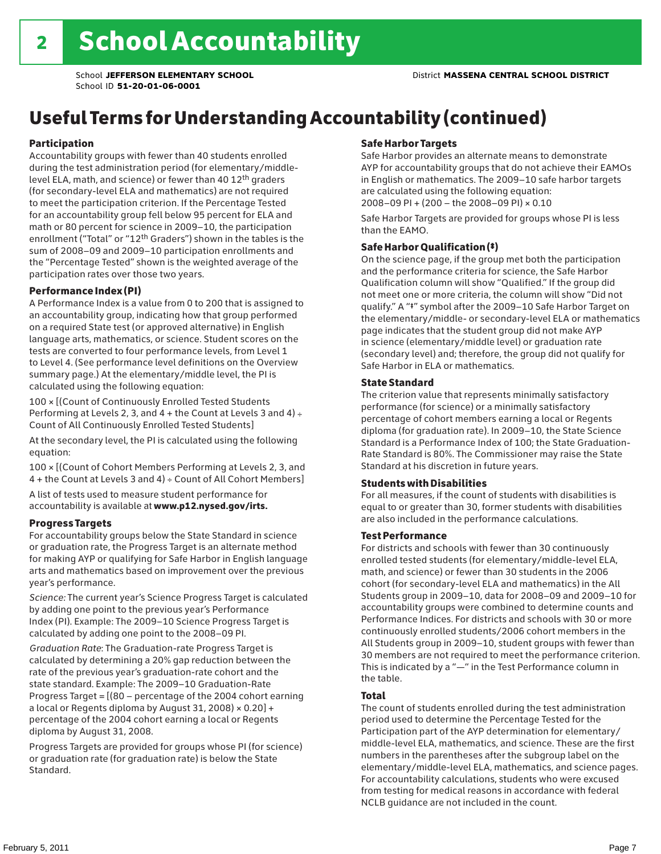## Useful Terms for Understanding Accountability (continued)

#### Participation

Accountability groups with fewer than 40 students enrolled during the test administration period (for elementary/middlelevel ELA, math, and science) or fewer than 40 12th graders (for secondary-level ELA and mathematics) are not required to meet the participation criterion. If the Percentage Tested for an accountability group fell below 95 percent for ELA and math or 80 percent for science in 2009–10, the participation enrollment ("Total" or "12th Graders") shown in the tables is the sum of 2008–09 and 2009–10 participation enrollments and the "Percentage Tested" shown is the weighted average of the participation rates over those two years.

#### Performance Index (PI)

A Performance Index is a value from 0 to 200 that is assigned to an accountability group, indicating how that group performed on a required State test (or approved alternative) in English language arts, mathematics, or science. Student scores on the tests are converted to four performance levels, from Level 1 to Level 4. (See performance level definitions on the Overview summary page.) At the elementary/middle level, the PI is calculated using the following equation:

100 × [(Count of Continuously Enrolled Tested Students Performing at Levels 2, 3, and  $4 +$  the Count at Levels 3 and  $4) \div$ Count of All Continuously Enrolled Tested Students]

At the secondary level, the PI is calculated using the following equation:

100 × [(Count of Cohort Members Performing at Levels 2, 3, and 4 + the Count at Levels 3 and 4) ÷ Count of All Cohort Members]

A list of tests used to measure student performance for accountability is available at www.p12.nysed.gov/irts.

#### Progress Targets

For accountability groups below the State Standard in science or graduation rate, the Progress Target is an alternate method for making AYP or qualifying for Safe Harbor in English language arts and mathematics based on improvement over the previous year's performance.

*Science:* The current year's Science Progress Target is calculated by adding one point to the previous year's Performance Index (PI). Example: The 2009–10 Science Progress Target is calculated by adding one point to the 2008–09 PI.

*Graduation Rate*: The Graduation-rate Progress Target is calculated by determining a 20% gap reduction between the rate of the previous year's graduation-rate cohort and the state standard. Example: The 2009–10 Graduation-Rate Progress Target = [(80 – percentage of the 2004 cohort earning a local or Regents diploma by August 31, 2008)  $\times$  0.20] + percentage of the 2004 cohort earning a local or Regents diploma by August 31, 2008.

Progress Targets are provided for groups whose PI (for science) or graduation rate (for graduation rate) is below the State Standard.

#### Safe Harbor Targets

Safe Harbor provides an alternate means to demonstrate AYP for accountability groups that do not achieve their EAMOs in English or mathematics. The 2009–10 safe harbor targets are calculated using the following equation: 2008–09 PI + (200 – the 2008–09 PI) × 0.10

Safe Harbor Targets are provided for groups whose PI is less than the EAMO.

#### Safe Harbor Qualification (‡)

On the science page, if the group met both the participation and the performance criteria for science, the Safe Harbor Qualification column will show "Qualified." If the group did not meet one or more criteria, the column will show "Did not qualify." A "‡" symbol after the 2009–10 Safe Harbor Target on the elementary/middle- or secondary-level ELA or mathematics page indicates that the student group did not make AYP in science (elementary/middle level) or graduation rate (secondary level) and; therefore, the group did not qualify for Safe Harbor in ELA or mathematics.

#### State Standard

The criterion value that represents minimally satisfactory performance (for science) or a minimally satisfactory percentage of cohort members earning a local or Regents diploma (for graduation rate). In 2009–10, the State Science Standard is a Performance Index of 100; the State Graduation-Rate Standard is 80%. The Commissioner may raise the State Standard at his discretion in future years.

#### Students with Disabilities

For all measures, if the count of students with disabilities is equal to or greater than 30, former students with disabilities are also included in the performance calculations.

#### Test Performance

For districts and schools with fewer than 30 continuously enrolled tested students (for elementary/middle-level ELA, math, and science) or fewer than 30 students in the 2006 cohort (for secondary-level ELA and mathematics) in the All Students group in 2009–10, data for 2008–09 and 2009–10 for accountability groups were combined to determine counts and Performance Indices. For districts and schools with 30 or more continuously enrolled students/2006 cohort members in the All Students group in 2009–10, student groups with fewer than 30 members are not required to meet the performance criterion. This is indicated by a "—" in the Test Performance column in the table.

#### Total

The count of students enrolled during the test administration period used to determine the Percentage Tested for the Participation part of the AYP determination for elementary/ middle-level ELA, mathematics, and science. These are the first numbers in the parentheses after the subgroup label on the elementary/middle-level ELA, mathematics, and science pages. For accountability calculations, students who were excused from testing for medical reasons in accordance with federal NCLB guidance are not included in the count.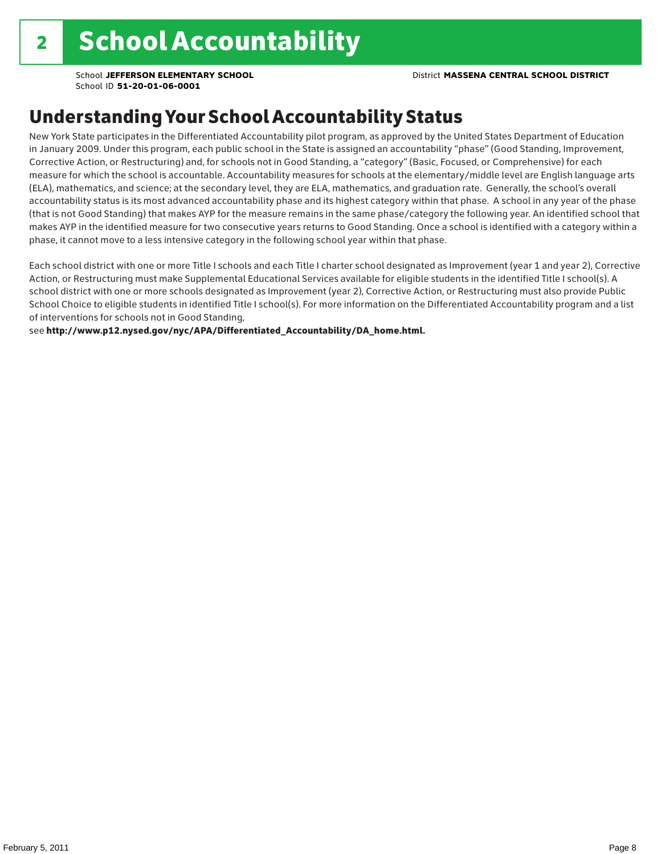School **JEFFERSON ELEMENTARY SCHOOL** District **MASSENA CENTRAL SCHOOL DISTRICT**

School ID **51-20-01-06-0001**

## Understanding Your School Accountability Status

New York State participates in the Differentiated Accountability pilot program, as approved by the United States Department of Education in January 2009. Under this program, each public school in the State is assigned an accountability "phase" (Good Standing, Improvement, Corrective Action, or Restructuring) and, for schools not in Good Standing, a "category" (Basic, Focused, or Comprehensive) for each measure for which the school is accountable. Accountability measures for schools at the elementary/middle level are English language arts (ELA), mathematics, and science; at the secondary level, they are ELA, mathematics, and graduation rate. Generally, the school's overall accountability status is its most advanced accountability phase and its highest category within that phase. A school in any year of the phase (that is not Good Standing) that makes AYP for the measure remains in the same phase/category the following year. An identified school that makes AYP in the identified measure for two consecutive years returns to Good Standing. Once a school is identified with a category within a phase, it cannot move to a less intensive category in the following school year within that phase.

Each school district with one or more Title I schools and each Title I charter school designated as Improvement (year 1 and year 2), Corrective Action, or Restructuring must make Supplemental Educational Services available for eligible students in the identified Title I school(s). A school district with one or more schools designated as Improvement (year 2), Corrective Action, or Restructuring must also provide Public School Choice to eligible students in identified Title I school(s). For more information on the Differentiated Accountability program and a list of interventions for schools not in Good Standing,

see http://www.p12.nysed.gov/nyc/APA/Differentiated\_Accountability/DA\_home.html.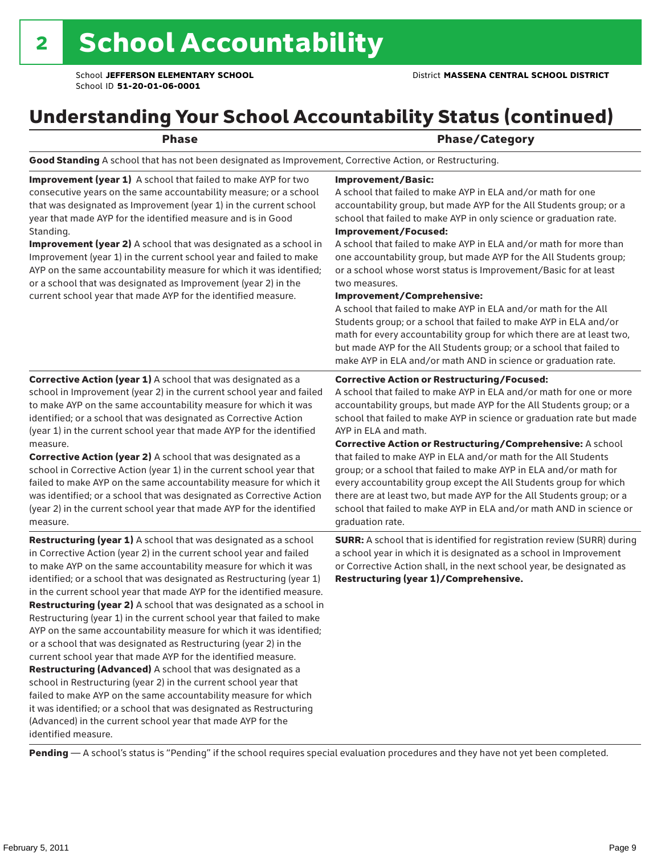## Understanding Your School Accountability Status (continued)

|  | $\sim$ | v |  |
|--|--------|---|--|
|  |        |   |  |

#### Phase/Category

Good Standing A school that has not been designated as Improvement, Corrective Action, or Restructuring.

Improvement (year 1) A school that failed to make AYP for two consecutive years on the same accountability measure; or a school that was designated as Improvement (year 1) in the current school year that made AYP for the identified measure and is in Good Standing.

Improvement (year 2) A school that was designated as a school in Improvement (year 1) in the current school year and failed to make AYP on the same accountability measure for which it was identified; or a school that was designated as Improvement (year 2) in the current school year that made AYP for the identified measure.

#### Improvement/Basic:

A school that failed to make AYP in ELA and/or math for one accountability group, but made AYP for the All Students group; or a school that failed to make AYP in only science or graduation rate. Improvement/Focused:

A school that failed to make AYP in ELA and/or math for more than one accountability group, but made AYP for the All Students group; or a school whose worst status is Improvement/Basic for at least two measures.

#### Improvement/Comprehensive:

A school that failed to make AYP in ELA and/or math for the All Students group; or a school that failed to make AYP in ELA and/or math for every accountability group for which there are at least two, but made AYP for the All Students group; or a school that failed to make AYP in ELA and/or math AND in science or graduation rate.

#### Corrective Action or Restructuring/Focused:

A school that failed to make AYP in ELA and/or math for one or more accountability groups, but made AYP for the All Students group; or a school that failed to make AYP in science or graduation rate but made AYP in ELA and math.

(year 1) in the current school year that made AYP for the identified measure. Corrective Action (year 2) A school that was designated as a school in Corrective Action (year 1) in the current school year that failed to make AYP on the same accountability measure for which it was identified; or a school that was designated as Corrective Action (year 2) in the current school year that made AYP for the identified

Corrective Action (year 1) A school that was designated as a school in Improvement (year 2) in the current school year and failed to make AYP on the same accountability measure for which it was identified; or a school that was designated as Corrective Action

measure. Restructuring (year 1) A school that was designated as a school in Corrective Action (year 2) in the current school year and failed to make AYP on the same accountability measure for which it was

identified; or a school that was designated as Restructuring (year 1) in the current school year that made AYP for the identified measure. Restructuring (year 2) A school that was designated as a school in Restructuring (year 1) in the current school year that failed to make AYP on the same accountability measure for which it was identified; or a school that was designated as Restructuring (year 2) in the current school year that made AYP for the identified measure. Restructuring (Advanced) A school that was designated as a school in Restructuring (year 2) in the current school year that failed to make AYP on the same accountability measure for which it was identified; or a school that was designated as Restructuring (Advanced) in the current school year that made AYP for the identified measure.

Corrective Action or Restructuring/Comprehensive: A school that failed to make AYP in ELA and/or math for the All Students group; or a school that failed to make AYP in ELA and/or math for every accountability group except the All Students group for which there are at least two, but made AYP for the All Students group; or a school that failed to make AYP in ELA and/or math AND in science or graduation rate.

SURR: A school that is identified for registration review (SURR) during a school year in which it is designated as a school in Improvement or Corrective Action shall, in the next school year, be designated as Restructuring (year 1)/Comprehensive.

Pending - A school's status is "Pending" if the school requires special evaluation procedures and they have not yet been completed.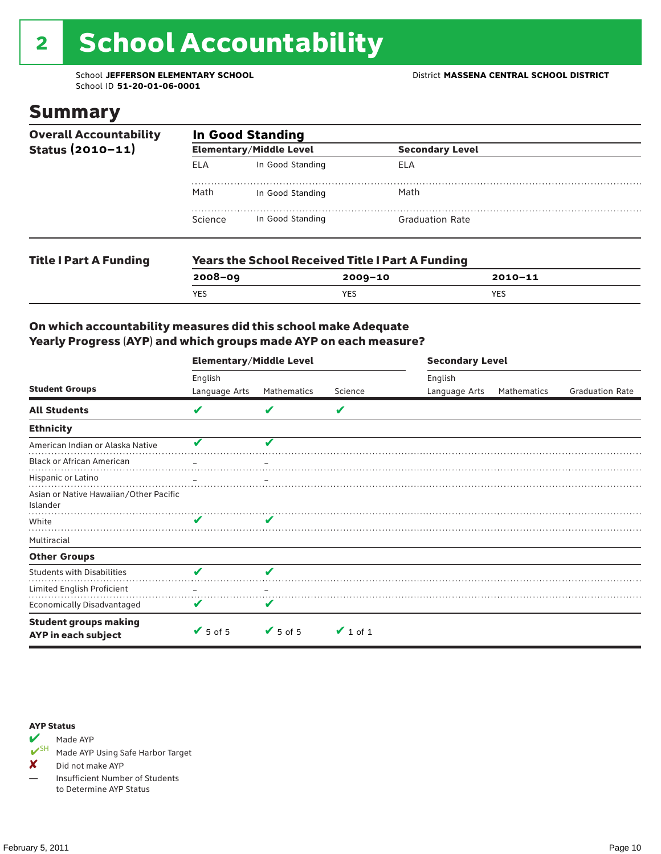# <sup>2</sup> School Accountability

School ID **51-20-01-06-0001**

### Summary

| <b>Overall Accountability</b> | <b>In Good Standing</b> |                                                         |                        |  |  |  |
|-------------------------------|-------------------------|---------------------------------------------------------|------------------------|--|--|--|
| Status $(2010 - 11)$          |                         | <b>Elementary/Middle Level</b>                          | <b>Secondary Level</b> |  |  |  |
|                               | <b>ELA</b>              | In Good Standing                                        | ELA                    |  |  |  |
|                               | Math                    | In Good Standing                                        | Math                   |  |  |  |
|                               | Science                 | In Good Standing                                        | <b>Graduation Rate</b> |  |  |  |
| <b>Title I Part A Funding</b> |                         | <b>Years the School Received Title I Part A Funding</b> |                        |  |  |  |

**2008–09 2009–10 2010–11**

YES YES YES

#### On which accountability measures did this school make Adequate Yearly Progress (AYP) and which groups made AYP on each measure?

|                                                     | <b>Elementary/Middle Level</b> |                 |               | <b>Secondary Level</b> |             |                        |  |
|-----------------------------------------------------|--------------------------------|-----------------|---------------|------------------------|-------------|------------------------|--|
|                                                     | English                        |                 |               | English                |             |                        |  |
| <b>Student Groups</b>                               | Language Arts                  | Mathematics     | Science       | Language Arts          | Mathematics | <b>Graduation Rate</b> |  |
| <b>All Students</b>                                 | V                              | V               | V             |                        |             |                        |  |
| <b>Ethnicity</b>                                    |                                |                 |               |                        |             |                        |  |
| American Indian or Alaska Native                    | v                              | J               |               |                        |             |                        |  |
| <b>Black or African American</b>                    |                                |                 |               |                        |             |                        |  |
| Hispanic or Latino                                  |                                |                 |               |                        |             |                        |  |
| Asian or Native Hawaiian/Other Pacific<br>Islander  |                                |                 |               |                        |             |                        |  |
| White                                               |                                |                 |               |                        |             |                        |  |
| Multiracial                                         |                                |                 |               |                        |             |                        |  |
| <b>Other Groups</b>                                 |                                |                 |               |                        |             |                        |  |
| <b>Students with Disabilities</b>                   | $\overline{\mathbf{v}}$        | V               |               |                        |             |                        |  |
| Limited English Proficient                          |                                |                 |               |                        |             |                        |  |
| <b>Economically Disadvantaged</b>                   | v                              |                 |               |                        |             |                        |  |
| <b>Student groups making</b><br>AYP in each subject | $\sqrt{5}$ of 5                | $\sqrt{5}$ of 5 | $\vee$ 1 of 1 |                        |             |                        |  |

#### AYP Status



Made AYP Using Safe Harbor Target

✘ Did not make AYP

— Insufficient Number of Students to Determine AYP Status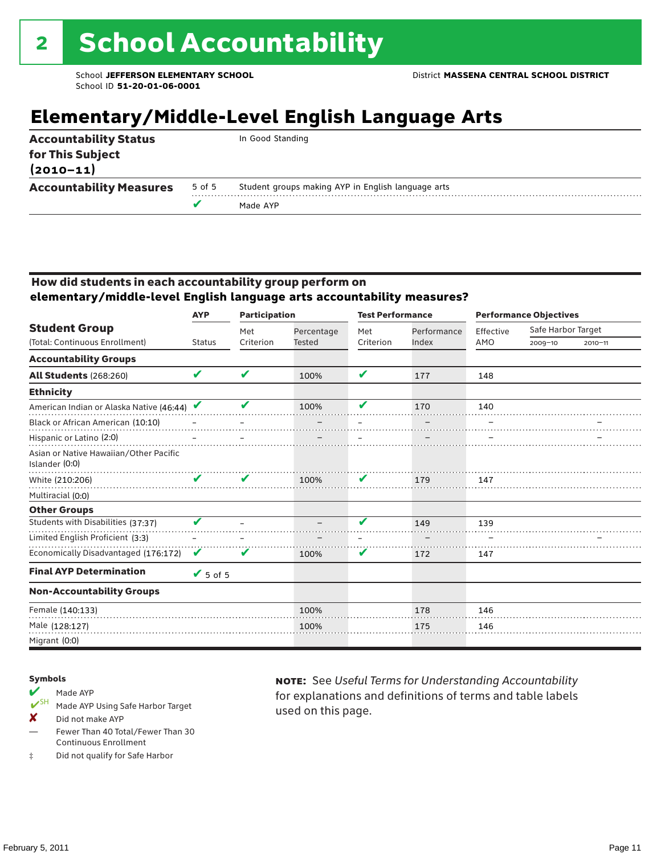## **Elementary/Middle-Level English Language Arts**

| <b>Accountability Status</b><br>In Good Standing<br>for This Subject<br>$(2010 - 11)$<br><b>Accountability Measures</b><br>Student groups making AYP in English language arts<br>5 of 5 |  | Made AYP |
|-----------------------------------------------------------------------------------------------------------------------------------------------------------------------------------------|--|----------|
|                                                                                                                                                                                         |  |          |
|                                                                                                                                                                                         |  |          |

#### How did students in each accountability group perform on **elementary/middle-level English language arts accountability measures?**

|                                                          | <b>Participation</b><br><b>AYP</b> |           | <b>Test Performance</b> |              |             | <b>Performance Objectives</b> |                    |             |
|----------------------------------------------------------|------------------------------------|-----------|-------------------------|--------------|-------------|-------------------------------|--------------------|-------------|
| <b>Student Group</b>                                     |                                    | Met       | Percentage              | Met          | Performance | Effective                     | Safe Harbor Target |             |
| (Total: Continuous Enrollment)                           | <b>Status</b>                      | Criterion | <b>Tested</b>           | Criterion    | Index       | AMO                           | $2009 - 10$        | $2010 - 11$ |
| <b>Accountability Groups</b>                             |                                    |           |                         |              |             |                               |                    |             |
| <b>All Students (268:260)</b>                            | V                                  | V         | 100%                    | $\mathbf{v}$ | 177         | 148                           |                    |             |
| <b>Ethnicity</b>                                         |                                    |           |                         |              |             |                               |                    |             |
| American Indian or Alaska Native (46:44)                 |                                    | v         | 100%                    | V            | 170         | 140                           |                    |             |
| Black or African American (10:10)                        |                                    |           |                         |              |             |                               |                    |             |
| Hispanic or Latino (2:0)                                 |                                    |           |                         |              |             |                               |                    |             |
| Asian or Native Hawaiian/Other Pacific<br>Islander (0:0) |                                    |           |                         |              |             |                               |                    |             |
| White (210:206)                                          | v                                  | V         | 100%                    | V            | 179         | 147                           |                    |             |
| Multiracial (0:0)                                        |                                    |           |                         |              |             |                               |                    |             |
| <b>Other Groups</b>                                      |                                    |           |                         |              |             |                               |                    |             |
| Students with Disabilities (37:37)                       | V                                  |           |                         | v            | 149         | 139                           |                    |             |
| Limited English Proficient (3:3)                         |                                    |           |                         |              |             |                               |                    |             |
| Economically Disadvantaged (176:172)                     | V                                  | V         | 100%                    | V            | 172         | 147                           |                    |             |
| <b>Final AYP Determination</b>                           | $\sqrt{5}$ of 5                    |           |                         |              |             |                               |                    |             |
| <b>Non-Accountability Groups</b>                         |                                    |           |                         |              |             |                               |                    |             |
| Female (140:133)                                         |                                    |           | 100%                    |              | 178         | 146                           |                    |             |
| Male (128:127)                                           |                                    |           | 100%                    |              | 175         | 146                           |                    |             |
| Migrant (0:0)                                            |                                    |           |                         |              |             |                               |                    |             |

#### Symbols

## Made AYP<br> **V**SH Made AVP

- Made AYP Using Safe Harbor Target
- X Did not make AYP
- Fewer Than 40 Total/Fewer Than 30 Continuous Enrollment
- ‡ Did not qualify for Safe Harbor

note: See *Useful Terms for Understanding Accountability*  for explanations and definitions of terms and table labels used on this page.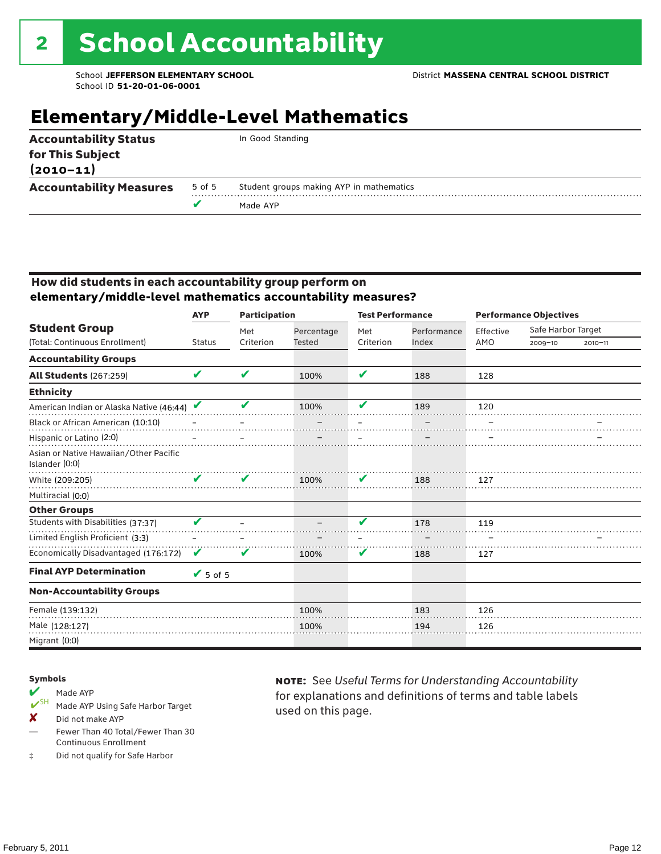## **Elementary/Middle-Level Mathematics**

| <b>Accountability Status</b><br>for This Subject<br>$(2010 - 11)$ |        | In Good Standing                         |
|-------------------------------------------------------------------|--------|------------------------------------------|
| <b>Accountability Measures</b>                                    | 5 of 5 | Student groups making AYP in mathematics |
|                                                                   |        | Made AYP                                 |
|                                                                   |        |                                          |

#### How did students in each accountability group perform on **elementary/middle-level mathematics accountability measures?**

|                                                          | <b>AYP</b>      | <b>Participation</b> |               | <b>Test Performance</b>    |             | <b>Performance Objectives</b> |                    |             |  |  |
|----------------------------------------------------------|-----------------|----------------------|---------------|----------------------------|-------------|-------------------------------|--------------------|-------------|--|--|
| <b>Student Group</b>                                     |                 | Met                  | Percentage    | Met                        | Performance | Effective                     | Safe Harbor Target |             |  |  |
| (Total: Continuous Enrollment)                           | <b>Status</b>   | Criterion            | <b>Tested</b> | Criterion                  | Index       | AMO                           | $2009 - 10$        | $2010 - 11$ |  |  |
| <b>Accountability Groups</b>                             |                 |                      |               |                            |             |                               |                    |             |  |  |
| <b>All Students (267:259)</b>                            | V               | ✔                    | 100%          | $\boldsymbol{\mathcal{L}}$ | 188         | 128                           |                    |             |  |  |
| <b>Ethnicity</b>                                         |                 |                      |               |                            |             |                               |                    |             |  |  |
| American Indian or Alaska Native (46:44)                 |                 |                      | 100%          | v                          | 189         | 120                           |                    |             |  |  |
| Black or African American (10:10)                        |                 |                      |               |                            |             |                               |                    |             |  |  |
| Hispanic or Latino (2:0)                                 |                 |                      |               |                            |             |                               |                    |             |  |  |
| Asian or Native Hawaiian/Other Pacific<br>Islander (0:0) |                 |                      |               |                            |             |                               |                    |             |  |  |
| White (209:205)                                          | ı               | V                    | 100%          | V                          | 188         | 127                           |                    |             |  |  |
| Multiracial (0:0)                                        |                 |                      |               |                            |             |                               |                    |             |  |  |
| <b>Other Groups</b>                                      |                 |                      |               |                            |             |                               |                    |             |  |  |
| Students with Disabilities (37:37)                       | V               |                      |               | v                          | 178         | 119                           |                    |             |  |  |
| Limited English Proficient (3:3)                         |                 |                      |               |                            |             |                               |                    |             |  |  |
| Economically Disadvantaged (176:172)                     | V               | v                    | 100%          | V                          | 188         | 127                           |                    |             |  |  |
| <b>Final AYP Determination</b>                           | $\sqrt{5}$ of 5 |                      |               |                            |             |                               |                    |             |  |  |
| <b>Non-Accountability Groups</b>                         |                 |                      |               |                            |             |                               |                    |             |  |  |
| Female (139:132)                                         |                 |                      | 100%          |                            | 183         | 126                           |                    |             |  |  |
| Male (128:127)                                           |                 |                      | 100%          |                            | 194         | 126                           |                    |             |  |  |
| Migrant (0:0)                                            |                 |                      |               |                            |             |                               |                    |             |  |  |

#### Symbols

- Made AYP<br> **V**SH Made AVP Made AYP Using Safe Harbor Target
- X Did not make AYP
- Fewer Than 40 Total/Fewer Than 30 Continuous Enrollment
- ‡ Did not qualify for Safe Harbor

note: See *Useful Terms for Understanding Accountability*  for explanations and definitions of terms and table labels used on this page.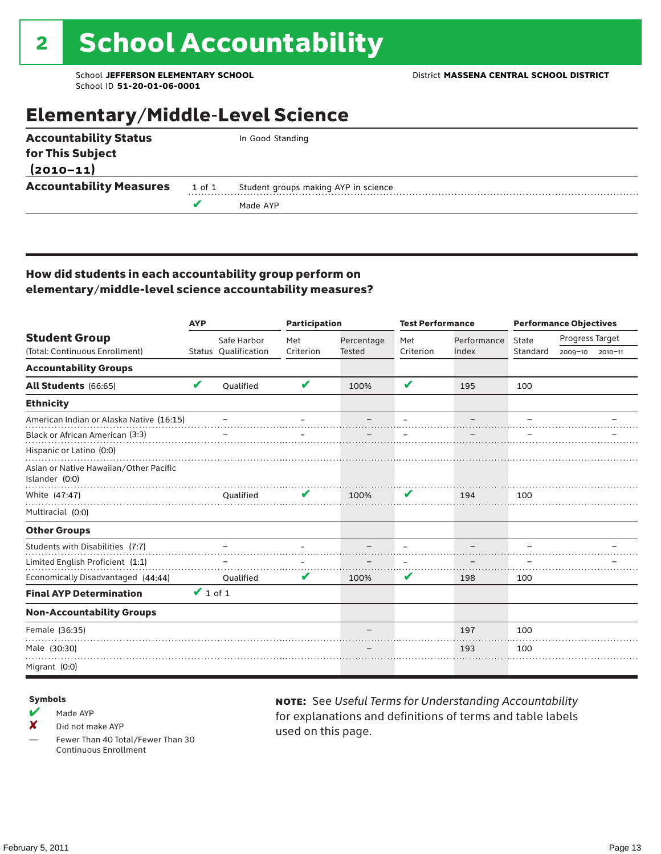## Elementary/Middle-Level Science

|        | In Good Standing                     |
|--------|--------------------------------------|
|        |                                      |
|        |                                      |
| 1 of 1 | Student groups making AYP in science |
|        | Made AYP                             |
|        |                                      |

#### How did students in each accountability group perform on elementary/middle-level science accountability measures?

|                                                          | <b>AYP</b>          |                      | <b>Participation</b> |               | <b>Test Performance</b> |             | <b>Performance Objectives</b> |                 |             |  |
|----------------------------------------------------------|---------------------|----------------------|----------------------|---------------|-------------------------|-------------|-------------------------------|-----------------|-------------|--|
| <b>Student Group</b>                                     |                     | Safe Harbor          | Met                  | Percentage    | Met                     | Performance | State                         | Progress Target |             |  |
| (Total: Continuous Enrollment)                           |                     | Status Qualification | Criterion            | <b>Tested</b> | Criterion               | Index       | Standard                      | 2009-10         | $2010 - 11$ |  |
| <b>Accountability Groups</b>                             |                     |                      |                      |               |                         |             |                               |                 |             |  |
| All Students (66:65)                                     | V                   | Oualified            | V                    | 100%          | V                       | 195         | 100                           |                 |             |  |
| <b>Ethnicity</b>                                         |                     |                      |                      |               |                         |             |                               |                 |             |  |
| American Indian or Alaska Native (16:15)                 |                     |                      |                      |               |                         |             |                               |                 |             |  |
| Black or African American (3:3)                          |                     |                      |                      |               |                         |             |                               |                 |             |  |
| Hispanic or Latino (0:0)                                 |                     |                      |                      |               |                         |             |                               |                 |             |  |
| Asian or Native Hawaiian/Other Pacific<br>Islander (0:0) |                     |                      |                      |               |                         |             |                               |                 |             |  |
| White (47:47)                                            |                     | Oualified            |                      | 100%          | V                       | 194         | 100                           |                 |             |  |
| Multiracial (0:0)                                        |                     |                      |                      |               |                         |             |                               |                 |             |  |
| <b>Other Groups</b>                                      |                     |                      |                      |               |                         |             |                               |                 |             |  |
| Students with Disabilities (7:7)                         |                     |                      |                      |               |                         |             |                               |                 |             |  |
| Limited English Proficient (1:1)                         |                     |                      |                      |               |                         |             |                               |                 |             |  |
| Economically Disadvantaged (44:44)                       |                     | Oualified            | V                    | 100%          | V                       | 198         | 100                           |                 |             |  |
| <b>Final AYP Determination</b>                           | $\mathbf{V}$ 1 of 1 |                      |                      |               |                         |             |                               |                 |             |  |
| <b>Non-Accountability Groups</b>                         |                     |                      |                      |               |                         |             |                               |                 |             |  |
| Female (36:35)                                           |                     |                      |                      |               |                         | 197         | 100                           |                 |             |  |
| Male (30:30)                                             |                     |                      |                      |               |                         | 193         | 100                           |                 |             |  |
| Migrant (0:0)                                            |                     |                      |                      |               |                         |             |                               |                 |             |  |

#### Symbols

- $M$  Made AYP
- X Did not make AYP
- Fewer Than 40 Total/Fewer Than 30 Continuous Enrollment

note: See *Useful Terms for Understanding Accountability*  for explanations and definitions of terms and table labels used on this page.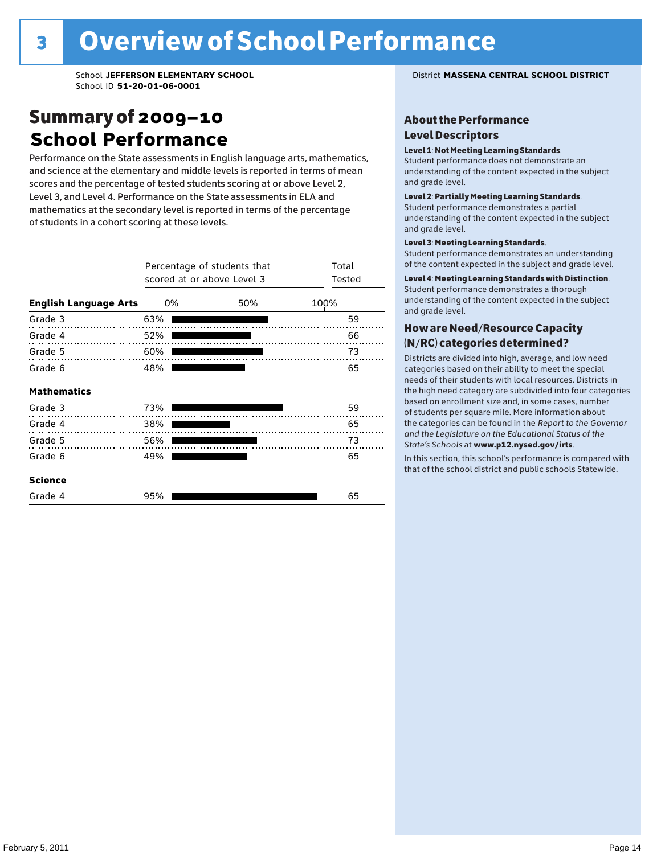## Summary of 2009–10 **School Performance**

Performance on the State assessments in English language arts, mathematics, and science at the elementary and middle levels is reported in terms of mean scores and the percentage of tested students scoring at or above Level 2, Level 3, and Level 4. Performance on the State assessments in ELA and mathematics at the secondary level is reported in terms of the percentage of students in a cohort scoring at these levels.

|                              | Percentage of students that<br>scored at or above Level 3 | Total<br>Tested |      |
|------------------------------|-----------------------------------------------------------|-----------------|------|
| <b>English Language Arts</b> | 0%                                                        | 50%             | 100% |
| Grade 3                      | 63%                                                       |                 | 59   |
| Grade 4                      | 52%                                                       |                 | 66   |
| Grade 5                      | 60%                                                       |                 | 73   |
| Grade 6                      | 48%                                                       |                 | 65   |
| <b>Mathematics</b>           |                                                           |                 |      |
| Grade 3                      | 73%                                                       |                 | 59   |
| Grade 4                      | 38%                                                       |                 | 65   |
| Grade 5                      | 56%                                                       |                 | 73   |
| Grade 6                      | 49%                                                       |                 | 65   |
| <b>Science</b>               |                                                           |                 |      |
| Grade 4                      | 95%                                                       |                 | 65   |

School **JEFFERSON ELEMENTARY SCHOOL** District **MASSENA CENTRAL SCHOOL DISTRICT**

#### About the Performance Level Descriptors

#### Level 1: Not Meeting Learning Standards.

Student performance does not demonstrate an understanding of the content expected in the subject and grade level.

#### Level 2: Partially Meeting Learning Standards.

Student performance demonstrates a partial understanding of the content expected in the subject and grade level.

#### Level 3: Meeting Learning Standards.

Student performance demonstrates an understanding of the content expected in the subject and grade level.

#### Level 4: Meeting Learning Standards with Distinction.

Student performance demonstrates a thorough understanding of the content expected in the subject and grade level.

#### How are Need/Resource Capacity (N/RC) categories determined?

Districts are divided into high, average, and low need categories based on their ability to meet the special needs of their students with local resources. Districts in the high need category are subdivided into four categories based on enrollment size and, in some cases, number of students per square mile. More information about the categories can be found in the *Report to the Governor and the Legislature on the Educational Status of the*  State's Schools at www.p12.nysed.gov/irts.

In this section, this school's performance is compared with<br>that of the school district and multigazine also taken idea In this section, this school's performance is compared that of the school district and public schools Statewide.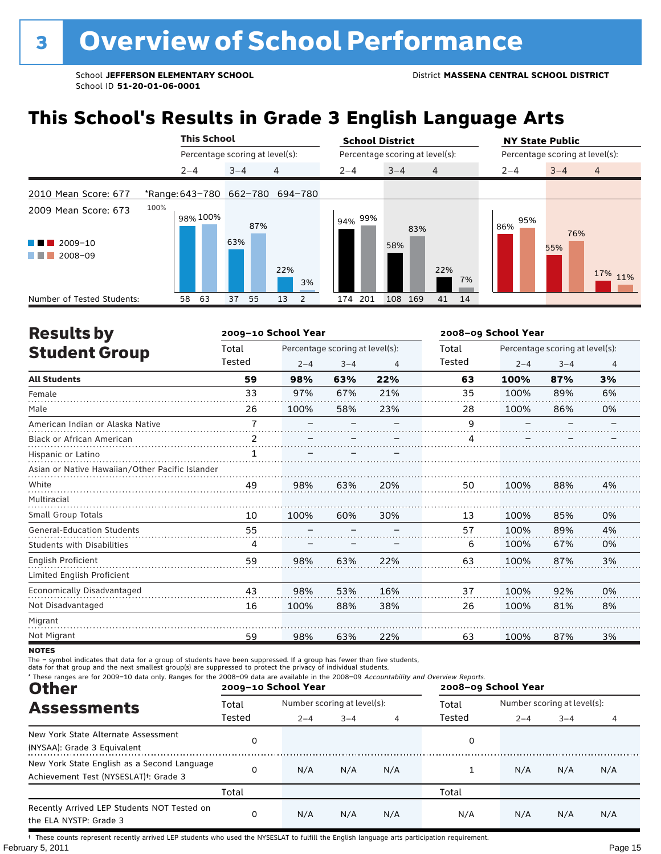## **This School's Results in Grade 3 English Language Arts**

|                            |                         | <b>This School</b> |          |                                 | <b>School District</b> |                                 |    | <b>NY State Public</b>          |         |                |  |  |
|----------------------------|-------------------------|--------------------|----------|---------------------------------|------------------------|---------------------------------|----|---------------------------------|---------|----------------|--|--|
|                            |                         |                    |          | Percentage scoring at level(s): |                        | Percentage scoring at level(s): |    | Percentage scoring at level(s): |         |                |  |  |
|                            | $2 - 4$                 |                    | $3 - 4$  | 4                               | $2 - 4$                | $3 - 4$<br>$\overline{4}$       |    |                                 | $3 - 4$ | $\overline{4}$ |  |  |
| 2010 Mean Score: 677       | *Range: 643-780 662-780 |                    |          | 694-780                         |                        |                                 |    |                                 |         |                |  |  |
| 2009 Mean Score: 673       | 100%                    | 98% 100%           |          | 87%                             | l 94% <sup>99%</sup>   | 83%                             |    | 95%<br>86%                      | 76%     |                |  |  |
| 2009-10                    |                         |                    | 63%      |                                 |                        | 58%                             |    |                                 | 55%     |                |  |  |
| 2008-09                    |                         |                    |          | 22%<br>3%                       |                        | 22%                             | 7% |                                 |         | 17% 11%        |  |  |
| Number of Tested Students: | 58                      | 63                 | 37<br>55 | 13<br>2                         | 201<br>174             | 108<br>169<br>41                | 14 |                                 |         |                |  |  |

| <b>Results by</b>                               |                | 2009-10 School Year |                                 | 2008-09 School Year |        |         |                                 |    |  |
|-------------------------------------------------|----------------|---------------------|---------------------------------|---------------------|--------|---------|---------------------------------|----|--|
| <b>Student Group</b>                            | Total          |                     | Percentage scoring at level(s): |                     | Total  |         | Percentage scoring at level(s): |    |  |
|                                                 | Tested         | $2 - 4$             | $3 - 4$                         | 4                   | Tested | $2 - 4$ | $3 - 4$                         | 4  |  |
| <b>All Students</b>                             | 59             | 98%                 | 63%                             | 22%                 | 63     | 100%    | 87%                             | 3% |  |
| Female                                          | 33             | 97%                 | 67%                             | 21%                 | 35     | 100%    | 89%                             | 6% |  |
| Male                                            | 26             | 100%                | 58%                             | 23%                 | 28     | 100%    | 86%                             | 0% |  |
| American Indian or Alaska Native                | $\overline{7}$ |                     |                                 |                     | 9      |         |                                 |    |  |
| <b>Black or African American</b>                | $\mathcal{P}$  |                     |                                 |                     | Δ      |         |                                 |    |  |
| Hispanic or Latino                              | 1              |                     |                                 |                     |        |         |                                 |    |  |
| Asian or Native Hawaiian/Other Pacific Islander |                |                     |                                 |                     |        |         |                                 |    |  |
| White                                           | 49             | 98%                 | 63%                             | 20%                 | 50     | 100%    | 88%                             | 4% |  |
| Multiracial                                     |                |                     |                                 |                     |        |         |                                 |    |  |
| Small Group Totals                              | 10             | 100%                | 60%                             | 30%                 | 13     | 100%    | 85%                             | 0% |  |
| <b>General-Education Students</b>               | 55             |                     |                                 |                     | 57     | 100%    | 89%                             | 4% |  |
| <b>Students with Disabilities</b>               | 4              |                     |                                 |                     | 6      | 100%    | 67%                             | 0% |  |
| English Proficient                              | 59             | 98%                 | 63%                             | 22%                 | 63     | 100%    | 87%                             | 3% |  |
| Limited English Proficient                      |                |                     |                                 |                     |        |         |                                 |    |  |
| Economically Disadvantaged                      | 43             | 98%                 | 53%                             | 16%                 | 37     | 100%    | 92%                             | 0% |  |
| Not Disadvantaged                               | 16             | 100%                | 88%                             | 38%                 | 26     | 100%    | 81%                             | 8% |  |
| Migrant                                         |                |                     |                                 |                     |        |         |                                 |    |  |
| Not Migrant                                     | 59             | 98%                 | 63%                             | 22%                 | 63     | 100%    | 87%                             | 3% |  |

**NOTES** 

The – symbol indicates that data for a group of students have been suppressed. If a group has fewer than five students,<br>data for that group and the next smallest group(s) are suppressed to protect the privacy of individual

| * These ranges are for 2009-10 data only. Ranges for the 2008-09 data are available in the 2008-09 Accountability and Overview Reports.<br><b>Other</b> |        | 2009-10 School Year         |         |     | 2008-09 School Year |                             |         |     |  |  |
|---------------------------------------------------------------------------------------------------------------------------------------------------------|--------|-----------------------------|---------|-----|---------------------|-----------------------------|---------|-----|--|--|
| <b>Assessments</b>                                                                                                                                      | Total  | Number scoring at level(s): |         |     | Total               | Number scoring at level(s): |         |     |  |  |
|                                                                                                                                                         | Tested | $2 - 4$                     | $3 - 4$ | 4   | Tested              | $2 - 4$                     | $3 - 4$ | 4   |  |  |
| New York State Alternate Assessment<br>(NYSAA): Grade 3 Equivalent                                                                                      | 0      |                             |         |     | 0                   |                             |         |     |  |  |
| New York State English as a Second Language<br>Achievement Test (NYSESLAT) <sup>+</sup> : Grade 3                                                       | 0      | N/A                         | N/A     | N/A |                     | N/A                         | N/A     | N/A |  |  |
|                                                                                                                                                         | Total  |                             |         |     | Total               |                             |         |     |  |  |
| Recently Arrived LEP Students NOT Tested on<br>the ELA NYSTP: Grade 3                                                                                   | 0      | N/A                         | N/A     | N/A | N/A                 | N/A                         | N/A     | N/A |  |  |

February 5, 2011 **Page 15** † These counts represent recently arrived LEP students who used the NYSESLAT to fulfill the English language arts participation requirement.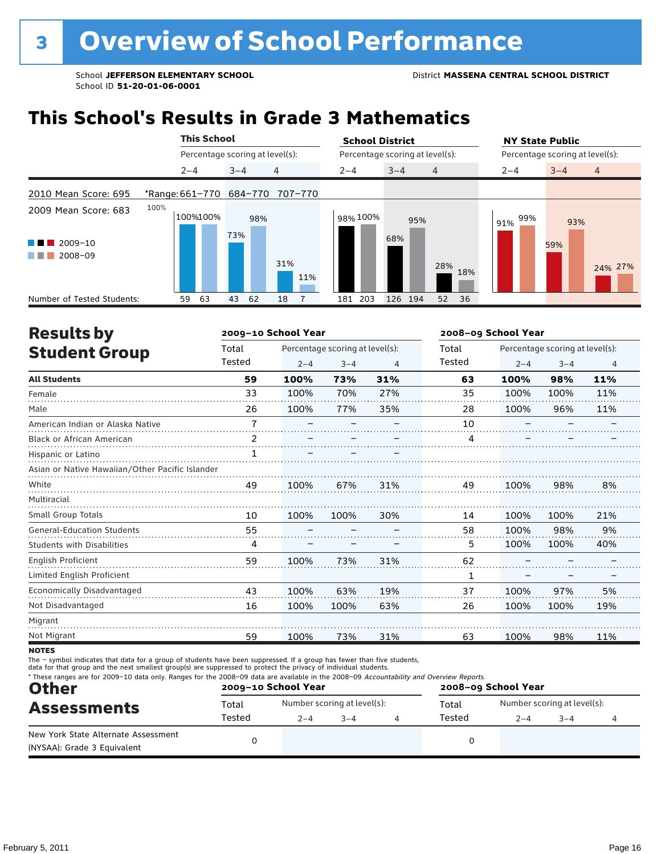## **This School's Results in Grade 3 Mathematics**

|                                                          | <b>This School</b>      |                                 |         |     |                |            |                                 |                | <b>NY State Public</b>          |         |                |  |  |
|----------------------------------------------------------|-------------------------|---------------------------------|---------|-----|----------------|------------|---------------------------------|----------------|---------------------------------|---------|----------------|--|--|
|                                                          |                         | Percentage scoring at level(s): |         |     |                |            | Percentage scoring at level(s): |                | Percentage scoring at level(s): |         |                |  |  |
|                                                          | $2 - 4$                 |                                 | $3 - 4$ |     | $\overline{4}$ | $2 - 4$    | $3 - 4$                         | $\overline{4}$ | $2 - 4$                         | $3 - 4$ | $\overline{4}$ |  |  |
| 2010 Mean Score: 695                                     | *Range: 661-770 684-770 |                                 |         |     | 707-770        |            |                                 |                |                                 |         |                |  |  |
| 2009 Mean Score: 683                                     | 100%                    | 100%100%                        |         | 98% |                | 98% 100%   | 95%                             |                | 99%<br>91%                      | 93%     |                |  |  |
| 2009-10<br><b>The Common</b><br>2008-09<br>a katika masu |                         |                                 | 73%     |     | 31%            |            | 68%                             |                |                                 | 59%     |                |  |  |
|                                                          |                         |                                 |         |     | 11%            |            |                                 | 28%<br>18%     |                                 |         | 24% 27%        |  |  |
| Number of Tested Students:                               |                         | 63<br>59                        | 43      | 62  | 18             | 203<br>181 | 126 194                         | 52<br>36       |                                 |         |                |  |  |

| <b>Results by</b>                               |                | 2009-10 School Year |                                 |     | 2008-09 School Year |         |                                 |                |  |  |
|-------------------------------------------------|----------------|---------------------|---------------------------------|-----|---------------------|---------|---------------------------------|----------------|--|--|
| <b>Student Group</b>                            | Total          |                     | Percentage scoring at level(s): |     | Total               |         | Percentage scoring at level(s): |                |  |  |
|                                                 | Tested         | $2 - 4$             | $3 - 4$                         | 4   | <b>Tested</b>       | $2 - 4$ | $3 - 4$                         | $\overline{4}$ |  |  |
| <b>All Students</b>                             | 59             | 100%                | 73%                             | 31% | 63                  | 100%    | 98%                             | 11%            |  |  |
| Female                                          | 33             | 100%                | 70%                             | 27% | 35                  | 100%    | 100%                            | 11%            |  |  |
| Male                                            | 26             | 100%                | 77%                             | 35% | 28                  | 100%    | 96%                             | 11%            |  |  |
| American Indian or Alaska Native                | $\overline{7}$ |                     |                                 |     | 10                  |         |                                 |                |  |  |
| <b>Black or African American</b>                | $\mathcal{P}$  |                     |                                 |     | 4                   |         |                                 |                |  |  |
| Hispanic or Latino                              | 1              |                     |                                 |     |                     |         |                                 |                |  |  |
| Asian or Native Hawaiian/Other Pacific Islander |                |                     |                                 |     |                     |         |                                 |                |  |  |
| White                                           | 49             | 100%                | 67%                             | 31% | 49                  | 100%    | 98%                             | 8%             |  |  |
| Multiracial                                     |                |                     |                                 |     |                     |         |                                 |                |  |  |
| <b>Small Group Totals</b>                       | 10             | 100%                | 100%                            | 30% | 14                  | 100%    | 100%                            | 21%            |  |  |
| <b>General-Education Students</b>               | 55             |                     |                                 |     | 58                  | 100%    | 98%                             | 9%             |  |  |
| <b>Students with Disabilities</b>               | 4              |                     |                                 |     | 5                   | 100%    | 100%                            | 40%            |  |  |
| <b>English Proficient</b>                       | 59             | 100%                | 73%                             | 31% | 62                  |         |                                 |                |  |  |
| Limited English Proficient                      |                |                     |                                 |     | 1                   |         |                                 |                |  |  |
| <b>Economically Disadvantaged</b>               | 43             | 100%                | 63%                             | 19% | 37                  | 100%    | 97%                             | 5%             |  |  |
| Not Disadvantaged                               | 16             | 100%                | 100%                            | 63% | 26                  | 100%    | 100%                            | 19%            |  |  |
| Migrant                                         |                |                     |                                 |     |                     |         |                                 |                |  |  |
| Not Migrant                                     | 59             | 100%                | 73%                             | 31% | 63                  | 100%    | 98%                             | 11%            |  |  |

**NOTES** 

| * These ranges are for 2009-10 data only. Ranges for the 2008-09 data are available in the 2008-09 Accountability and Overview Reports.<br><b>Other</b> |                 | 2009-10 School Year |                                        | 2008-09 School Year |        |         |                                        |  |  |
|---------------------------------------------------------------------------------------------------------------------------------------------------------|-----------------|---------------------|----------------------------------------|---------------------|--------|---------|----------------------------------------|--|--|
| <b>Assessments</b>                                                                                                                                      | Total<br>Tested | $2 - 4$             | Number scoring at level(s):<br>$3 - 4$ |                     |        | $2 - 4$ | Number scoring at level(s):<br>$3 - 4$ |  |  |
| New York State Alternate Assessment<br>(NYSAA): Grade 3 Equivalent                                                                                      |                 |                     |                                        |                     | Tested |         |                                        |  |  |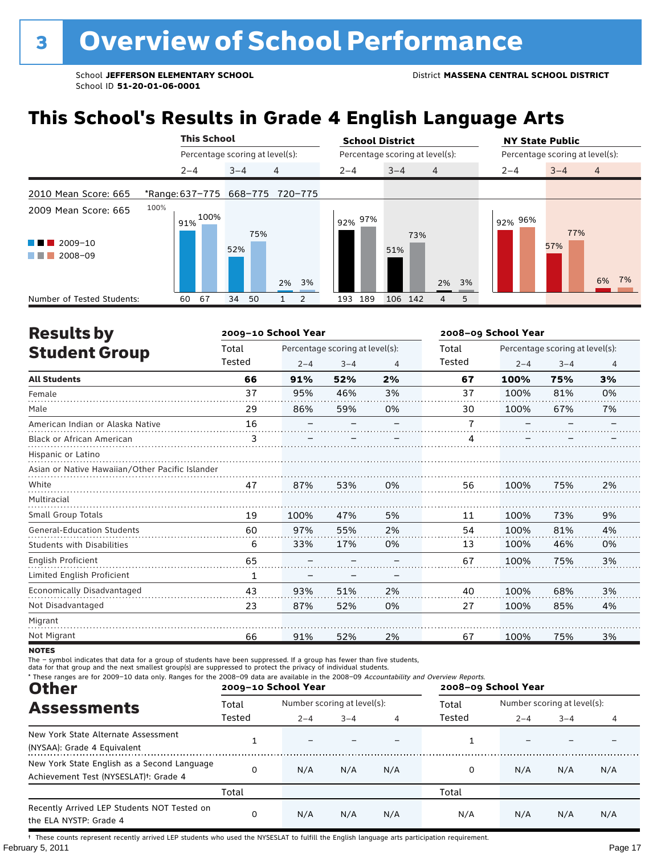## **This School's Results in Grade 4 English Language Arts**

|                                                         |                                 | <b>This School</b> |                                 |         |     |                |               |         | <b>School District</b>          |     |                           |                |         |                                 | <b>NY State Public</b> |                |  |       |  |
|---------------------------------------------------------|---------------------------------|--------------------|---------------------------------|---------|-----|----------------|---------------|---------|---------------------------------|-----|---------------------------|----------------|---------|---------------------------------|------------------------|----------------|--|-------|--|
|                                                         |                                 |                    | Percentage scoring at level(s): |         |     |                |               |         | Percentage scoring at level(s): |     |                           |                |         | Percentage scoring at level(s): |                        |                |  |       |  |
|                                                         |                                 | $2 - 4$            |                                 | $3 - 4$ |     | $\overline{4}$ |               | $2 - 4$ |                                 |     | $3 - 4$<br>$\overline{4}$ |                | $2 - 4$ |                                 | $3 - 4$                | $\overline{4}$ |  |       |  |
| 2010 Mean Score: 665                                    | *Range: 637-775 668-775 720-775 |                    |                                 |         |     |                |               |         |                                 |     |                           |                |         |                                 |                        |                |  |       |  |
| 2009 Mean Score: 665<br>2009-10<br>a shekara<br>2008-09 | 100%                            |                    | $191\%$ $100\%$                 | 52%     | 75% | 2% 3%          |               |         | 92% 97%                         | 51% | 73%                       | 2% 3%          |         |                                 | 92% 96%                | 77%<br>57%     |  | 6% 7% |  |
| Number of Tested Students:                              |                                 | 60                 | 67                              | 34      | 50  |                | $\mathcal{P}$ | 193     | 189                             |     | 106 142                   | $\overline{4}$ | 5       |                                 |                        |                |  |       |  |

| <b>Results by</b>                               |        | 2009-10 School Year |                                 | 2008-09 School Year |                |                                 |         |    |  |
|-------------------------------------------------|--------|---------------------|---------------------------------|---------------------|----------------|---------------------------------|---------|----|--|
| <b>Student Group</b>                            | Total  |                     | Percentage scoring at level(s): |                     | Total          | Percentage scoring at level(s): |         |    |  |
|                                                 | Tested | $2 - 4$             | $3 - 4$                         | $\overline{4}$      | Tested         | $2 - 4$                         | $3 - 4$ | 4  |  |
| <b>All Students</b>                             | 66     | 91%                 | 52%                             | 2%                  | 67             | 100%                            | 75%     | 3% |  |
| Female                                          | 37     | 95%                 | 46%                             | 3%                  | 37             | 100%                            | 81%     | 0% |  |
| Male                                            | 29     | 86%                 | 59%                             | 0%                  | 30             | 100%                            | 67%     | 7% |  |
| American Indian or Alaska Native                | 16     |                     |                                 |                     | $\overline{7}$ |                                 |         |    |  |
| <b>Black or African American</b>                | 3      |                     |                                 |                     | 4              |                                 |         |    |  |
| Hispanic or Latino                              |        |                     |                                 |                     |                |                                 |         |    |  |
| Asian or Native Hawaiian/Other Pacific Islander |        |                     |                                 |                     |                |                                 |         |    |  |
| White                                           | 47     | 87%                 | 53%                             | 0%                  | 56             | 100%                            | 75%     | 2% |  |
| Multiracial                                     |        |                     |                                 |                     |                |                                 |         |    |  |
| <b>Small Group Totals</b>                       | 19     | 100%                | 47%                             | 5%                  | 11             | 100%                            | 73%     | 9% |  |
| <b>General-Education Students</b>               | 60     | 97%                 | 55%                             | 2%                  | 54             | 100%                            | 81%     | 4% |  |
| <b>Students with Disabilities</b>               | 6      | 33%                 | 17%                             | 0%                  | 13             | 100%                            | 46%     | 0% |  |
| <b>English Proficient</b>                       | 65     |                     |                                 |                     | 67             | 100%                            | 75%     | 3% |  |
| Limited English Proficient                      | 1      |                     |                                 |                     |                |                                 |         |    |  |
| <b>Economically Disadvantaged</b>               | 43     | 93%                 | 51%                             | 2%                  | 40             | 100%                            | 68%     | 3% |  |
| Not Disadvantaged                               | 23     | 87%                 | 52%                             | 0%                  | 27             | 100%                            | 85%     | 4% |  |
| Migrant                                         |        |                     |                                 |                     |                |                                 |         |    |  |
| Not Migrant                                     | 66     | 91%                 | 52%                             | 2%                  | 67             | 100%                            | 75%     | 3% |  |

**NOTES** 

The – symbol indicates that data for a group of students have been suppressed. If a group has fewer than five students,<br>data for that group and the next smallest group(s) are suppressed to protect the privacy of individual

| * These ranges are for 2009-10 data only. Ranges for the 2008-09 data are available in the 2008-09 Accountability and Overview Reports.<br><b>Other</b> |        | 2009-10 School Year         |         |     | 2008-09 School Year |                             |         |     |  |  |
|---------------------------------------------------------------------------------------------------------------------------------------------------------|--------|-----------------------------|---------|-----|---------------------|-----------------------------|---------|-----|--|--|
| <b>Assessments</b>                                                                                                                                      | Total  | Number scoring at level(s): |         |     | Total               | Number scoring at level(s): |         |     |  |  |
|                                                                                                                                                         | Tested | $2 - 4$                     | $3 - 4$ |     | Tested              | $2 - 4$                     | $3 - 4$ | 4   |  |  |
| New York State Alternate Assessment<br>(NYSAA): Grade 4 Equivalent                                                                                      |        |                             |         |     |                     |                             |         |     |  |  |
| New York State English as a Second Language<br>Achievement Test (NYSESLAT) <sup>†</sup> : Grade 4                                                       | 0      | N/A                         | N/A     | N/A | 0                   | N/A                         | N/A     | N/A |  |  |
|                                                                                                                                                         | Total  |                             |         |     | Total               |                             |         |     |  |  |
| Recently Arrived LEP Students NOT Tested on<br>the ELA NYSTP: Grade 4                                                                                   | 0      | N/A                         | N/A     | N/A | N/A                 | N/A                         | N/A     | N/A |  |  |

February 5, 2011 **Page 17** † These counts represent recently arrived LEP students who used the NYSESLAT to fulfill the English language arts participation requirement.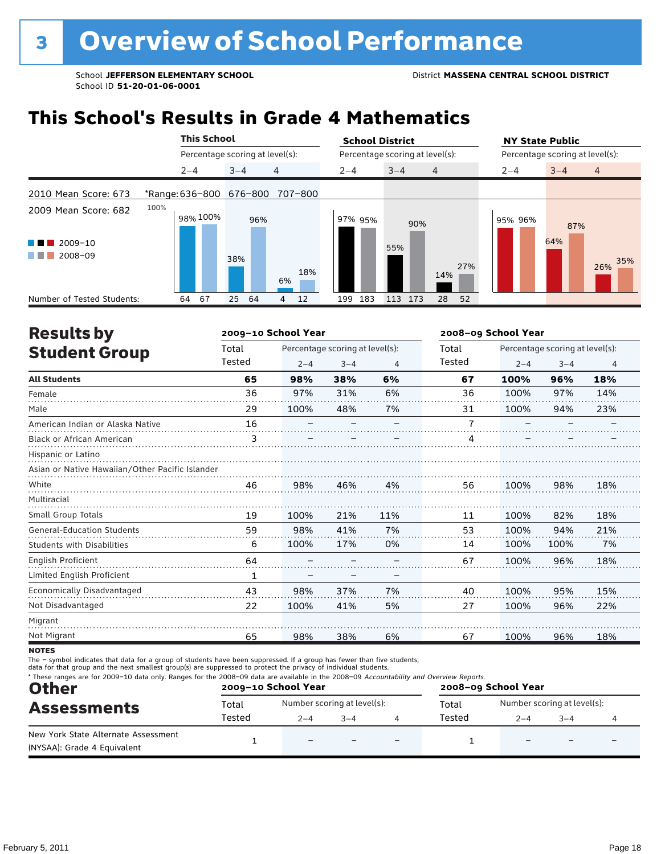## **This School's Results in Grade 4 Mathematics**

| <b>This School</b>                  |                         |                                 |         |     |           |  | <b>School District</b> |                                 |                |     | <b>NY State Public</b>          |            |                |  |  |
|-------------------------------------|-------------------------|---------------------------------|---------|-----|-----------|--|------------------------|---------------------------------|----------------|-----|---------------------------------|------------|----------------|--|--|
|                                     |                         | Percentage scoring at level(s): |         |     |           |  |                        | Percentage scoring at level(s): |                |     | Percentage scoring at level(s): |            |                |  |  |
|                                     |                         | $2 - 4$                         | $3 - 4$ |     | 4         |  | $2 - 4$                | $3 - 4$                         | $\overline{4}$ |     | $2 - 4$                         | $3 - 4$    | $\overline{4}$ |  |  |
| 2010 Mean Score: 673                | *Range: 636-800 676-800 |                                 |         |     | 707-800   |  |                        |                                 |                |     |                                 |            |                |  |  |
| 2009 Mean Score: 682<br>$2009 - 10$ | 100%                    | 98% 100%                        |         | 96% |           |  | 97% 95%                | 90%<br>55%                      |                |     | 95% 96%                         | 87%<br>64% |                |  |  |
| 2008-09<br>a sa Tan                 |                         |                                 | 38%     |     | 18%<br>6% |  |                        |                                 | 14%            | 27% |                                 |            | 35%<br>26%     |  |  |
| Number of Tested Students:          | 64                      | 67                              | 25      | 64  | 12<br>4   |  | 183<br>199             | 113<br>173                      | 28             | 52  |                                 |            |                |  |  |

| <b>Results by</b>                               |        | 2009-10 School Year |                                 | 2008-09 School Year |        |         |                                 |                |
|-------------------------------------------------|--------|---------------------|---------------------------------|---------------------|--------|---------|---------------------------------|----------------|
| <b>Student Group</b>                            | Total  |                     | Percentage scoring at level(s): |                     | Total  |         | Percentage scoring at level(s): |                |
|                                                 | Tested | $2 - 4$             | $3 - 4$                         | 4                   | Tested | $2 - 4$ | $3 - 4$                         | $\overline{4}$ |
| <b>All Students</b>                             | 65     | 98%                 | 38%                             | 6%                  | 67     | 100%    | 96%                             | 18%            |
| Female                                          | 36     | 97%                 | 31%                             | 6%                  | 36     | 100%    | 97%                             | 14%            |
| Male                                            | 29     | 100%                | 48%                             | 7%                  | 31     | 100%    | 94%                             | 23%            |
| American Indian or Alaska Native                | 16     |                     |                                 |                     | 7      |         |                                 |                |
| Black or African American                       | 3      |                     |                                 |                     | 4      |         |                                 |                |
| Hispanic or Latino                              |        |                     |                                 |                     |        |         |                                 |                |
| Asian or Native Hawaiian/Other Pacific Islander |        |                     |                                 |                     |        |         |                                 |                |
| White                                           | 46     | 98%                 | 46%                             | 4%                  | 56     | 100%    | 98%                             | 18%            |
| Multiracial                                     |        |                     |                                 |                     |        |         |                                 |                |
| Small Group Totals                              | 19     | 100%                | 21%                             | 11%                 | 11     | 100%    | 82%                             | 18%            |
| <b>General-Education Students</b>               | 59     | 98%                 | 41%                             | 7%                  | 53     | 100%    | 94%                             | 21%            |
| <b>Students with Disabilities</b>               | 6      | 100%                | 17%                             | 0%                  | 14     | 100%    | 100%                            | 7%             |
| <b>English Proficient</b>                       | 64     |                     |                                 |                     | 67     | 100%    | 96%                             | 18%            |
| Limited English Proficient                      | 1      |                     |                                 |                     |        |         |                                 |                |
| <b>Economically Disadvantaged</b>               | 43     | 98%                 | 37%                             | 7%                  | 40     | 100%    | 95%                             | 15%            |
| Not Disadvantaged                               | 22     | 100%                | 41%                             | 5%                  | 27     | 100%    | 96%                             | 22%            |
| Migrant                                         |        |                     |                                 |                     |        |         |                                 |                |
| Not Migrant                                     | 65     | 98%                 | 38%                             | 6%                  | 67     | 100%    | 96%                             | 18%            |
|                                                 |        |                     |                                 |                     |        |         |                                 |                |

**NOTES** 

| * These ranges are for 2009-10 data only. Ranges for the 2008-09 data are available in the 2008-09 Accountability and Overview Reports.<br><b>Other</b><br><b>Assessments</b> |        | 2009-10 School Year      |                             | 2008-09 School Year      |        |         |                             |  |  |
|-------------------------------------------------------------------------------------------------------------------------------------------------------------------------------|--------|--------------------------|-----------------------------|--------------------------|--------|---------|-----------------------------|--|--|
|                                                                                                                                                                               | Total  |                          | Number scoring at level(s): |                          | Total  |         | Number scoring at level(s): |  |  |
|                                                                                                                                                                               | Tested | $2 - 4$<br>$3 - 4$       |                             |                          | Tested | $2 - 4$ | $-3-4$                      |  |  |
| New York State Alternate Assessment<br>(NYSAA): Grade 4 Equivalent                                                                                                            |        | $\overline{\phantom{0}}$ |                             | $\overline{\phantom{0}}$ |        |         |                             |  |  |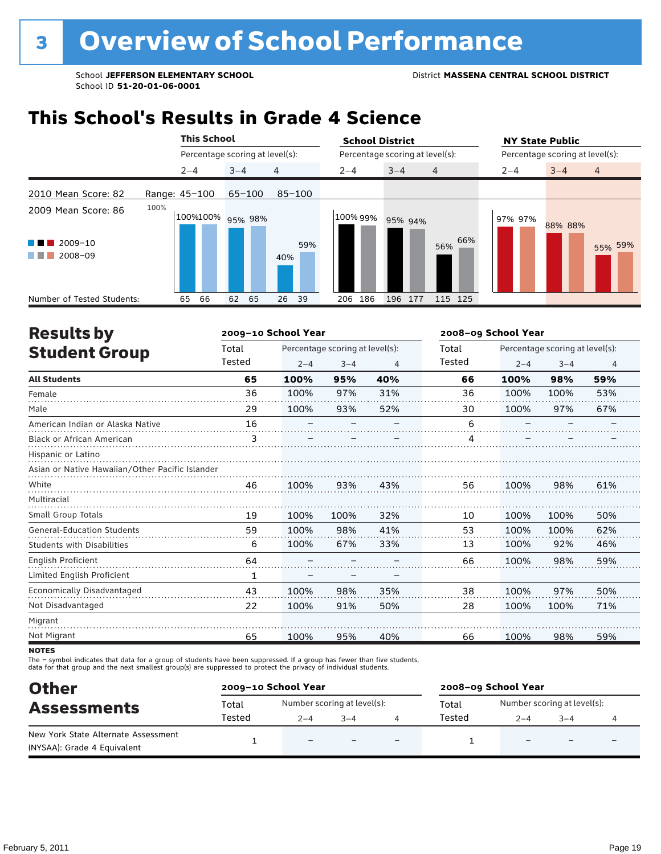## **This School's Results in Grade 4 Science**

|                                                                   |               | <b>This School</b> |                                 |            | <b>School District</b> |                                 | <b>NY State Public</b><br>Percentage scoring at level(s): |  |  |  |
|-------------------------------------------------------------------|---------------|--------------------|---------------------------------|------------|------------------------|---------------------------------|-----------------------------------------------------------|--|--|--|
|                                                                   |               |                    | Percentage scoring at level(s): |            |                        | Percentage scoring at level(s): |                                                           |  |  |  |
|                                                                   |               | $2 - 4$            | $3 - 4$                         | 4          | $2 - 4$                | $3 - 4$<br>$\overline{4}$       | $3 - 4$<br>$\overline{4}$<br>$2 - 4$                      |  |  |  |
| 2010 Mean Score: 82                                               | Range: 45-100 |                    | $65 - 100$                      | $85 - 100$ |                        |                                 |                                                           |  |  |  |
| 2009 Mean Score: 86<br>$2009 - 10$<br>a ka<br>2008-09<br>a sa Tan | 100%          |                    | 100%100% 95% 98%                | 59%<br>40% | 100% 99%               | 95% 94%<br>66%<br>56%           | 97% 97%<br>88% 88%<br>55% 59%                             |  |  |  |
| Number of Tested Students:                                        |               | 65<br>66           | 62<br>65                        | 26<br>-39  | 186<br>206             | 196<br>115 125<br>177           |                                                           |  |  |  |

| <b>Results by</b>                               |        | 2009-10 School Year |                                 |     | 2008-09 School Year |         |                                 |                |  |
|-------------------------------------------------|--------|---------------------|---------------------------------|-----|---------------------|---------|---------------------------------|----------------|--|
| <b>Student Group</b>                            | Total  |                     | Percentage scoring at level(s): |     | Total               |         | Percentage scoring at level(s): |                |  |
|                                                 | Tested | $2 - 4$             | $3 - 4$                         | 4   | Tested              | $2 - 4$ | $3 - 4$                         | $\overline{4}$ |  |
| <b>All Students</b>                             | 65     | 100%                | 95%                             | 40% | 66                  | 100%    | 98%                             | 59%            |  |
| Female                                          | 36     | 100%                | 97%                             | 31% | 36                  | 100%    | 100%                            | 53%            |  |
| Male                                            | 29     | 100%                | 93%                             | 52% | 30                  | 100%    | 97%                             | 67%            |  |
| American Indian or Alaska Native                | 16     |                     |                                 |     | 6                   |         |                                 |                |  |
| <b>Black or African American</b>                | 3      |                     |                                 |     | 4                   |         |                                 |                |  |
| Hispanic or Latino                              |        |                     |                                 |     |                     |         |                                 |                |  |
| Asian or Native Hawaiian/Other Pacific Islander |        |                     |                                 |     |                     |         |                                 |                |  |
| White                                           | 46     | 100%                | 93%                             | 43% | 56                  | 100%    | 98%                             | 61%            |  |
| Multiracial                                     |        |                     |                                 |     |                     |         |                                 |                |  |
| Small Group Totals                              | 19     | 100%                | 100%                            | 32% | 10                  | 100%    | 100%                            | 50%            |  |
| <b>General-Education Students</b>               | 59     | 100%                | 98%                             | 41% | 53                  | 100%    | 100%                            | 62%            |  |
| <b>Students with Disabilities</b>               | 6      | 100%                | 67%                             | 33% | 13                  | 100%    | 92%                             | 46%            |  |
| <b>English Proficient</b>                       | 64     |                     |                                 |     | 66                  | 100%    | 98%                             | 59%            |  |
| Limited English Proficient                      | 1      |                     |                                 |     |                     |         |                                 |                |  |
| <b>Economically Disadvantaged</b>               | 43     | 100%                | 98%                             | 35% | 38                  | 100%    | 97%                             | 50%            |  |
| Not Disadvantaged                               | 22     | 100%                | 91%                             | 50% | 28                  | 100%    | 100%                            | 71%            |  |
| Migrant                                         |        |                     |                                 |     |                     |         |                                 |                |  |
| Not Migrant                                     | 65     | 100%                | 95%                             | 40% | 66                  | 100%    | 98%                             | 59%            |  |

**NOTES** 

| <b>Other</b>                        | 2009-10 School Year |                             |         |                          | 2008-09 School Year |                             |                          |                          |  |  |
|-------------------------------------|---------------------|-----------------------------|---------|--------------------------|---------------------|-----------------------------|--------------------------|--------------------------|--|--|
| <b>Assessments</b>                  | Total               | Number scoring at level(s): |         |                          | Total               | Number scoring at level(s): |                          |                          |  |  |
|                                     | Tested              | $2 - 4$                     | $3 - 4$ |                          | Tested              | $2 - 4$                     | $-3-4$                   |                          |  |  |
| New York State Alternate Assessment |                     | $\overline{\phantom{0}}$    |         |                          |                     |                             |                          |                          |  |  |
| (NYSAA): Grade 4 Equivalent         |                     |                             |         | $\overline{\phantom{0}}$ |                     | $\overline{\phantom{0}}$    | $\overline{\phantom{0}}$ | $\overline{\phantom{0}}$ |  |  |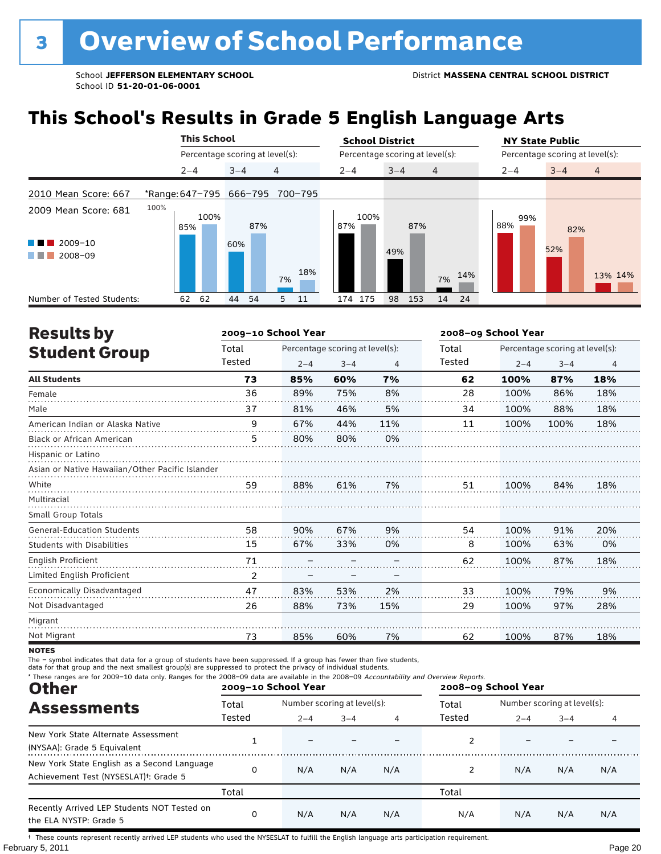## **This School's Results in Grade 5 English Language Arts**

|                            |                         | <b>This School</b>              |      |         |     |                                 |     | <b>School District</b> |         |     |                                 |     |         | <b>NY State Public</b> |         |                |  |  |
|----------------------------|-------------------------|---------------------------------|------|---------|-----|---------------------------------|-----|------------------------|---------|-----|---------------------------------|-----|---------|------------------------|---------|----------------|--|--|
|                            |                         | Percentage scoring at level(s): |      |         |     | Percentage scoring at level(s): |     |                        |         |     | Percentage scoring at level(s): |     |         |                        |         |                |  |  |
|                            |                         | $2 - 4$                         |      | $3 - 4$ |     | $\overline{4}$                  |     | $2 - 4$                | $3 - 4$ |     | $\overline{4}$                  |     | $2 - 4$ |                        | $3 - 4$ | $\overline{4}$ |  |  |
| 2010 Mean Score: 667       | *Range: 647-795 666-795 |                                 |      |         |     | 700-795                         |     |                        |         |     |                                 |     |         |                        |         |                |  |  |
| 2009 Mean Score: 681       | 100%                    | 85%                             | 100% |         | 87% |                                 |     | 100%<br>87%            |         | 87% |                                 |     | 88%     | 99%                    | 82%     |                |  |  |
| $2009 - 10$<br>2008-09     |                         |                                 |      | 60%     |     | 7%                              | 18% |                        | 49%     |     | 7%                              | 14% |         |                        | 52%     | 13% 14%        |  |  |
| Number of Tested Students: |                         | 62                              | 62   | 44      | 54  | 5                               | 11  | 174 175                | 98      | 153 | 14                              | 24  |         |                        |         |                |  |  |

| <b>Results by</b>                               |        | 2009-10 School Year |                                 |     | 2008-09 School Year |         |                                 |                |  |
|-------------------------------------------------|--------|---------------------|---------------------------------|-----|---------------------|---------|---------------------------------|----------------|--|
| <b>Student Group</b>                            | Total  |                     | Percentage scoring at level(s): |     | Total               |         | Percentage scoring at level(s): |                |  |
|                                                 | Tested | $2 - 4$             | $3 - 4$                         | 4   | Tested              | $2 - 4$ | $3 - 4$                         | $\overline{4}$ |  |
| <b>All Students</b>                             | 73     | 85%                 | 60%                             | 7%  | 62                  | 100%    | 87%                             | 18%            |  |
| Female                                          | 36     | 89%                 | 75%                             | 8%  | 28                  | 100%    | 86%                             | 18%            |  |
| Male                                            | 37     | 81%                 | 46%                             | 5%  | 34                  | 100%    | 88%                             | 18%            |  |
| American Indian or Alaska Native                | 9      | 67%                 | 44%                             | 11% | 11                  | 100%    | 100%                            | 18%            |  |
| <b>Black or African American</b>                | 5      | 80%                 | 80%                             | 0%  |                     |         |                                 |                |  |
| Hispanic or Latino                              |        |                     |                                 |     |                     |         |                                 |                |  |
| Asian or Native Hawaiian/Other Pacific Islander |        |                     |                                 |     |                     |         |                                 |                |  |
| White                                           | 59     | 88%                 | 61%                             | 7%  | 51                  | 100%    | 84%                             | 18%            |  |
| Multiracial                                     |        |                     |                                 |     |                     |         |                                 |                |  |
| Small Group Totals                              |        |                     |                                 |     |                     |         |                                 |                |  |
| <b>General-Education Students</b>               | 58     | 90%                 | 67%                             | 9%  | 54                  | 100%    | 91%                             | 20%            |  |
| <b>Students with Disabilities</b>               | 15     | 67%                 | 33%                             | 0%  | 8                   | 100%    | 63%                             | 0%             |  |
| <b>English Proficient</b>                       | 71     |                     |                                 |     | 62                  | 100%    | 87%                             | 18%            |  |
| Limited English Proficient                      | 2      |                     |                                 |     |                     |         |                                 |                |  |
| <b>Economically Disadvantaged</b>               | 47     | 83%                 | 53%                             | 2%  | 33                  | 100%    | 79%                             | 9%             |  |
| Not Disadvantaged                               | 26     | 88%                 | 73%                             | 15% | 29                  | 100%    | 97%                             | 28%            |  |
| Migrant                                         |        |                     |                                 |     |                     |         |                                 |                |  |
| Not Migrant                                     | 73     | 85%                 | 60%                             | 7%  | 62                  | 100%    | 87%                             | 18%            |  |

**NOTES** 

The – symbol indicates that data for a group of students have been suppressed. If a group has fewer than five students,<br>data for that group and the next smallest group(s) are suppressed to protect the privacy of individual

| * These ranges are for 2009-10 data only. Ranges for the 2008-09 data are available in the 2008-09 Accountability and Overview Reports.<br><b>Other</b> |        | 2009-10 School Year         |              |     | 2008-09 School Year |                             |         |     |  |
|---------------------------------------------------------------------------------------------------------------------------------------------------------|--------|-----------------------------|--------------|-----|---------------------|-----------------------------|---------|-----|--|
| <b>Assessments</b>                                                                                                                                      | Total  | Number scoring at level(s): |              |     | Total               | Number scoring at level(s): |         |     |  |
|                                                                                                                                                         | Tested | $2 - 4$                     | $3 - 4$<br>4 |     | Tested              | $2 - 4$                     | $3 - 4$ | 4   |  |
| New York State Alternate Assessment<br>(NYSAA): Grade 5 Equivalent                                                                                      |        |                             |              |     |                     |                             |         |     |  |
| New York State English as a Second Language<br>Achievement Test (NYSESLAT) <sup>+</sup> : Grade 5                                                       | 0      | N/A                         | N/A          | N/A |                     | N/A                         | N/A     | N/A |  |
|                                                                                                                                                         | Total  |                             |              |     | Total               |                             |         |     |  |
| Recently Arrived LEP Students NOT Tested on<br>the ELA NYSTP: Grade 5                                                                                   | 0      | N/A                         | N/A          | N/A | N/A                 | N/A                         | N/A     | N/A |  |

February 5, 2011 **Page 20** † These counts represent recently arrived LEP students who used the NYSESLAT to fulfill the English language arts participation requirement.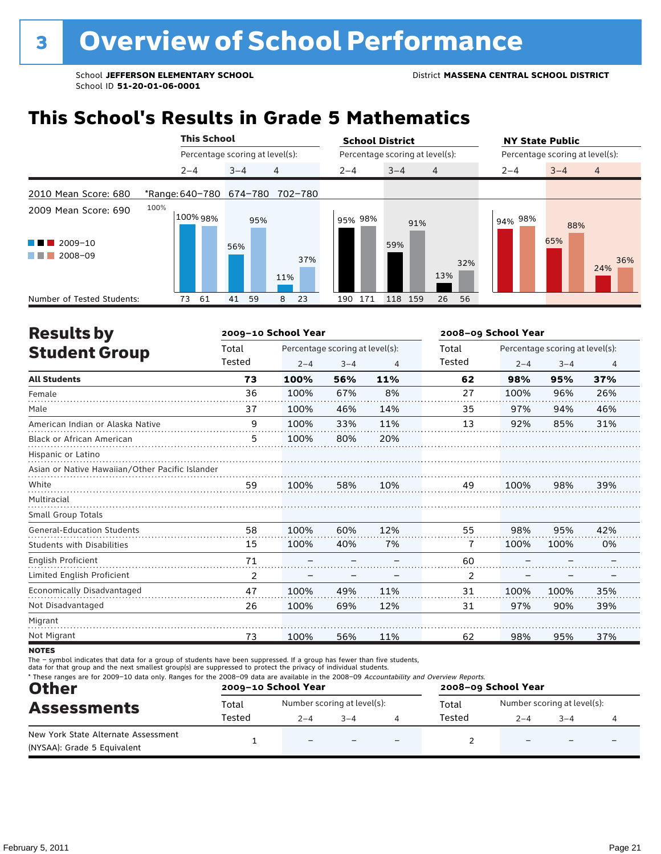## **This School's Results in Grade 5 Mathematics**

|                                                       | <b>This School</b>              |          |         |     |            |  | <b>School District</b> |                                 |                |     | <b>NY State Public</b>          |            |                |  |  |
|-------------------------------------------------------|---------------------------------|----------|---------|-----|------------|--|------------------------|---------------------------------|----------------|-----|---------------------------------|------------|----------------|--|--|
|                                                       | Percentage scoring at level(s): |          |         |     |            |  |                        | Percentage scoring at level(s): |                |     | Percentage scoring at level(s): |            |                |  |  |
|                                                       | $2 - 4$                         |          | $3 - 4$ |     | 4          |  | $2 - 4$                | $3 - 4$                         | $\overline{4}$ |     | $2 - 4$                         | $3 - 4$    | $\overline{4}$ |  |  |
| 2010 Mean Score: 680                                  | *Range: 640-780 674-780         |          |         |     | 702-780    |  |                        |                                 |                |     |                                 |            |                |  |  |
| 2009 Mean Score: 690<br>2009-10<br>a sa na<br>2008-09 | 100%                            | 100% 98% | 56%     | 95% | 37%<br>11% |  | 95% 98%                | 91%<br>59%                      | 13%            | 32% | 94% 98%                         | 88%<br>65% | 36%<br>24%     |  |  |
| Number of Tested Students:                            | 73                              | 61       | 41      | 59  | 23<br>8    |  | 171<br>190             | 118 159                         | 26             | 56  |                                 |            |                |  |  |

| <b>Results by</b>                               |        | 2009-10 School Year |                                 | 2008-09 School Year |        |         |                                 |                |
|-------------------------------------------------|--------|---------------------|---------------------------------|---------------------|--------|---------|---------------------------------|----------------|
| <b>Student Group</b>                            | Total  |                     | Percentage scoring at level(s): |                     | Total  |         | Percentage scoring at level(s): |                |
|                                                 | Tested | $2 - 4$             | $3 - 4$                         | $\overline{4}$      | Tested | $2 - 4$ | $3 - 4$                         | $\overline{4}$ |
| <b>All Students</b>                             | 73     | 100%                | 56%                             | 11%                 | 62     | 98%     | 95%                             | 37%            |
| Female                                          | 36     | 100%                | 67%                             | 8%                  | 27     | 100%    | 96%                             | 26%            |
| Male                                            | 37     | 100%                | 46%                             | 14%                 | 35     | 97%     | 94%                             | 46%            |
| American Indian or Alaska Native                | 9      | 100%                | 33%                             | 11%                 | 13     | 92%     | 85%                             | 31%            |
| <b>Black or African American</b>                | 5      | 100%                | 80%                             | 20%                 |        |         |                                 |                |
| Hispanic or Latino                              |        |                     |                                 |                     |        |         |                                 |                |
| Asian or Native Hawaiian/Other Pacific Islander |        |                     |                                 |                     |        |         |                                 |                |
| White                                           | 59     | 100%                | 58%                             | 10%                 | 49     | 100%    | 98%                             | 39%            |
| Multiracial                                     |        |                     |                                 |                     |        |         |                                 |                |
| <b>Small Group Totals</b>                       |        |                     |                                 |                     |        |         |                                 |                |
| <b>General-Education Students</b>               | 58     | 100%                | 60%                             | 12%                 | 55     | 98%     | 95%                             | 42%            |
| <b>Students with Disabilities</b>               | 15     | 100%                | 40%                             | 7%                  | 7      | 100%    | 100%                            | 0%             |
| English Proficient                              | 71     |                     |                                 |                     | 60     |         |                                 |                |
| Limited English Proficient                      | 2      |                     |                                 |                     | 2      |         |                                 |                |
| Economically Disadvantaged                      | 47     | 100%                | 49%                             | 11%                 | 31     | 100%    | 100%                            | 35%            |
| Not Disadvantaged                               | 26     | 100%                | 69%                             | 12%                 | 31     | 97%     | 90%                             | 39%            |
| Migrant                                         |        |                     |                                 |                     |        |         |                                 |                |
| Not Migrant                                     | 73     | 100%                | 56%                             | 11%                 | 62     | 98%     | 95%                             | 37%            |
| <b>NOTES</b>                                    |        |                     |                                 |                     |        |         |                                 |                |

notes

| <b>Other</b>                                                       |        | 2009-10 School Year      |                             | * These ranges are for 2009-10 data only. Ranges for the 2008-09 data are available in the 2008-09 Accountability and Overview Reports.<br>2008-09 School Year |        |         |                             |  |
|--------------------------------------------------------------------|--------|--------------------------|-----------------------------|----------------------------------------------------------------------------------------------------------------------------------------------------------------|--------|---------|-----------------------------|--|
| <b>Assessments</b>                                                 | Total  |                          | Number scoring at level(s): |                                                                                                                                                                | Total  |         | Number scoring at level(s): |  |
|                                                                    | Tested | $2 - 4$                  | $3 - 4$                     |                                                                                                                                                                | Tested | $2 - 4$ | $-3-4$                      |  |
| New York State Alternate Assessment<br>(NYSAA): Grade 5 Equivalent |        | $\overline{\phantom{0}}$ |                             |                                                                                                                                                                |        |         |                             |  |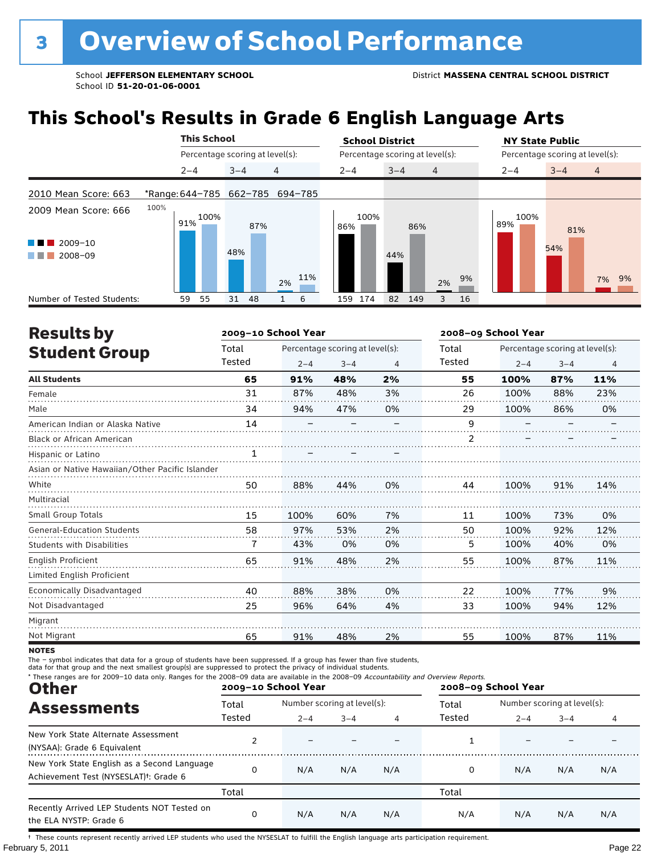## **This School's Results in Grade 6 English Language Arts**

|                            |      |         | <b>This School</b>              |         |     |                |     |         | <b>School District</b> |         |     |                                 |    |         | <b>NY State Public</b>          |         |     |                |  |
|----------------------------|------|---------|---------------------------------|---------|-----|----------------|-----|---------|------------------------|---------|-----|---------------------------------|----|---------|---------------------------------|---------|-----|----------------|--|
|                            |      |         | Percentage scoring at level(s): |         |     |                |     |         |                        |         |     | Percentage scoring at level(s): |    |         | Percentage scoring at level(s): |         |     |                |  |
|                            |      | $2 - 4$ |                                 | $3 - 4$ |     | $\overline{4}$ |     | $2 - 4$ |                        | $3 - 4$ |     | $\overline{4}$                  |    | $2 - 4$ |                                 | $3 - 4$ |     | $\overline{4}$ |  |
| 2010 Mean Score: 663       |      |         | *Range: 644-785 662-785 694-785 |         |     |                |     |         |                        |         |     |                                 |    |         |                                 |         |     |                |  |
| 2009 Mean Score: 666       | 100% | 91%     | 100%                            |         | 87% |                |     | 86%     | 100%                   |         | 86% |                                 |    | 89%     | 100%                            |         | 81% |                |  |
| 2009-10<br>2008-09         |      |         |                                 | 48%     |     | 2%             | 11% |         |                        | 44%     |     | 2%                              | 9% |         |                                 | 54%     |     | 7% 9%          |  |
| Number of Tested Students: |      | 59      | 55                              | 31      | 48  |                | 6   | 159     | 174                    | 82      | 149 | 3                               | 16 |         |                                 |         |     |                |  |

| <b>Results by</b>                               |              | 2009-10 School Year |                                 |    |        | 2008-09 School Year |                                 |                |
|-------------------------------------------------|--------------|---------------------|---------------------------------|----|--------|---------------------|---------------------------------|----------------|
| <b>Student Group</b>                            | Total        |                     | Percentage scoring at level(s): |    | Total  |                     | Percentage scoring at level(s): |                |
|                                                 | Tested       | $2 - 4$             | $3 - 4$                         | 4  | Tested | $2 - 4$             | $3 - 4$                         | $\overline{4}$ |
| <b>All Students</b>                             | 65           | 91%                 | 48%                             | 2% | 55     | 100%                | 87%                             | 11%            |
| Female                                          | 31           | 87%                 | 48%                             | 3% | 26     | 100%                | 88%                             | 23%            |
| Male                                            | 34           | 94%                 | 47%                             | 0% | 29     | 100%                | 86%                             | 0%             |
| American Indian or Alaska Native                | 14           |                     |                                 |    | 9      |                     |                                 |                |
| <b>Black or African American</b>                |              |                     |                                 |    | 2      |                     |                                 |                |
| Hispanic or Latino                              | $\mathbf{1}$ |                     |                                 |    |        |                     |                                 |                |
| Asian or Native Hawaiian/Other Pacific Islander |              |                     |                                 |    |        |                     |                                 |                |
| White                                           | 50           | 88%                 | 44%                             | 0% | 44     | 100%                | 91%                             | 14%            |
| Multiracial                                     |              |                     |                                 |    |        |                     |                                 |                |
| <b>Small Group Totals</b>                       | 15           | 100%                | 60%                             | 7% | 11     | 100%                | 73%                             | 0%             |
| <b>General-Education Students</b>               | 58           | 97%                 | 53%                             | 2% | 50     | 100%                | 92%                             | 12%            |
| <b>Students with Disabilities</b>               | 7            | 43%                 | 0%                              | 0% | 5      | 100%                | 40%                             | 0%             |
| English Proficient                              | 65           | 91%                 | 48%                             | 2% | 55     | 100%                | 87%                             | 11%            |
| Limited English Proficient                      |              |                     |                                 |    |        |                     |                                 |                |
| Economically Disadvantaged                      | 40           | 88%                 | 38%                             | 0% | 22     | 100%                | 77%                             | 9%             |
| Not Disadvantaged                               | 25           | 96%                 | 64%                             | 4% | 33     | 100%                | 94%                             | 12%            |
| Migrant                                         |              |                     |                                 |    |        |                     |                                 |                |
| Not Migrant                                     | 65           | 91%                 | 48%                             | 2% | 55     | 100%                | 87%                             | 11%            |

**NOTES** 

The – symbol indicates that data for a group of students have been suppressed. If a group has fewer than five students,<br>data for that group and the next smallest group(s) are suppressed to protect the privacy of individual

| * These ranges are for 2009-10 data only. Ranges for the 2008-09 data are available in the 2008-09 Accountability and Overview Reports.<br><b>Other</b> |        | 2009-10 School Year         |         |     | 2008-09 School Year |                             |         |     |  |
|---------------------------------------------------------------------------------------------------------------------------------------------------------|--------|-----------------------------|---------|-----|---------------------|-----------------------------|---------|-----|--|
| <b>Assessments</b>                                                                                                                                      | Total  | Number scoring at level(s): |         |     | Total               | Number scoring at level(s): |         |     |  |
|                                                                                                                                                         | Tested | $2 - 4$                     | $3 - 4$ | 4   | Tested              | $2 - 4$                     | $3 - 4$ | 4   |  |
| New York State Alternate Assessment<br>(NYSAA): Grade 6 Equivalent                                                                                      |        |                             |         |     |                     |                             |         |     |  |
| New York State English as a Second Language<br>Achievement Test (NYSESLAT) <sup>t</sup> : Grade 6                                                       | 0      | N/A                         | N/A     | N/A | 0                   | N/A                         | N/A     | N/A |  |
|                                                                                                                                                         | Total  |                             |         |     | Total               |                             |         |     |  |
| Recently Arrived LEP Students NOT Tested on<br>the ELA NYSTP: Grade 6                                                                                   | 0      | N/A                         | N/A     | N/A | N/A                 | N/A                         | N/A     | N/A |  |

February 5, 2011 **Page 22** † These counts represent recently arrived LEP students who used the NYSESLAT to fulfill the English language arts participation requirement.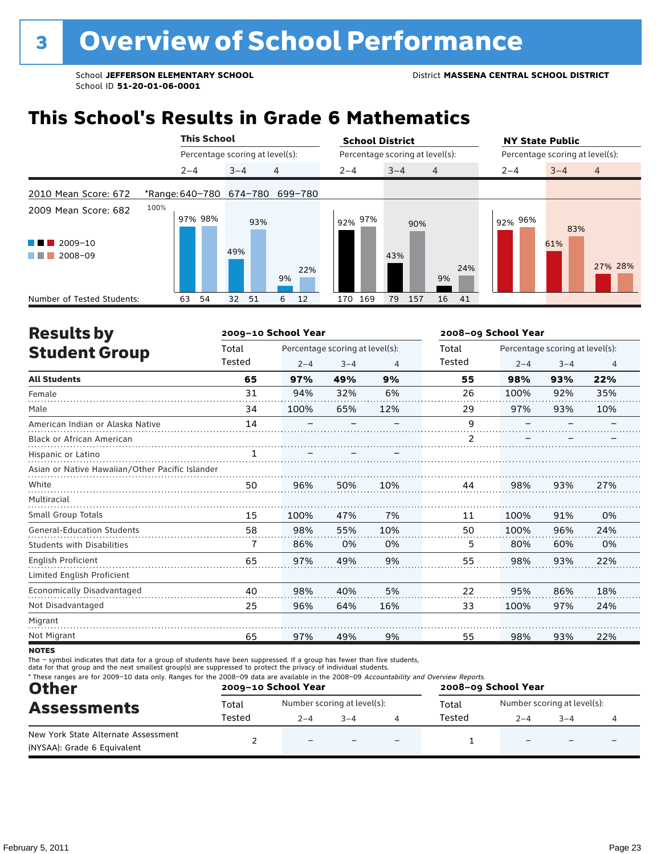## **This School's Results in Grade 6 Mathematics**

|                                                            |                         | <b>This School</b>              |         |     |           | <b>School District</b> |                                 |                | <b>NY State Public</b> |                                 |                |
|------------------------------------------------------------|-------------------------|---------------------------------|---------|-----|-----------|------------------------|---------------------------------|----------------|------------------------|---------------------------------|----------------|
|                                                            |                         | Percentage scoring at level(s): |         |     |           |                        | Percentage scoring at level(s): |                |                        | Percentage scoring at level(s): |                |
|                                                            |                         | $2 - 4$                         | $3 - 4$ |     | 4         | $2 - 4$                | $3 - 4$                         | $\overline{4}$ | $2 - 4$                | $3 - 4$                         | $\overline{4}$ |
| 2010 Mean Score: 672                                       | *Range: 640-780 674-780 |                                 |         |     | 699-780   |                        |                                 |                |                        |                                 |                |
| 2009 Mean Score: 682<br>$2009 - 10$<br>2008-09<br>a sa Tan | 100%                    | 97% 98%                         | 49%     | 93% | 22%<br>9% | 92% 97%                | 90%<br>43%                      | 24%<br>9%      | 92% 96%                | 83%<br>61%                      | 27% 28%        |
| Number of Tested Students:                                 | 63                      | 54                              | 32      | 51  | 12<br>6   | 169<br>170             | 79<br>157                       | 16<br>41       |                        |                                 |                |

| <b>Results by</b>                               |        | 2009-10 School Year |                                 |     |                | 2008-09 School Year |                                 |     |  |
|-------------------------------------------------|--------|---------------------|---------------------------------|-----|----------------|---------------------|---------------------------------|-----|--|
| <b>Student Group</b>                            | Total  |                     | Percentage scoring at level(s): |     | Total          |                     | Percentage scoring at level(s): |     |  |
|                                                 | Tested | $2 - 4$             | $3 - 4$                         | 4   | Tested         | $2 - 4$             | $3 - 4$                         | 4   |  |
| <b>All Students</b>                             | 65     | 97%                 | 49%                             | 9%  | 55             | 98%                 | 93%                             | 22% |  |
| Female                                          | 31     | 94%                 | 32%                             | 6%  | 26             | 100%                | 92%                             | 35% |  |
| Male                                            | 34     | 100%                | 65%                             | 12% | 29             | 97%                 | 93%                             | 10% |  |
| American Indian or Alaska Native                | 14     |                     |                                 |     | 9              |                     |                                 |     |  |
| Black or African American                       |        |                     |                                 |     | $\overline{2}$ |                     |                                 |     |  |
| Hispanic or Latino                              | 1      |                     |                                 |     |                |                     |                                 |     |  |
| Asian or Native Hawaiian/Other Pacific Islander |        |                     |                                 |     |                |                     |                                 |     |  |
| White                                           | 50     | 96%                 | 50%                             | 10% | 44             | 98%                 | 93%                             | 27% |  |
| Multiracial                                     |        |                     |                                 |     |                |                     |                                 |     |  |
| Small Group Totals                              | 15     | 100%                | 47%                             | 7%  | 11             | 100%                | 91%                             | 0%  |  |
| <b>General-Education Students</b>               | 58     | 98%                 | 55%                             | 10% | 50             | 100%                | 96%                             | 24% |  |
| <b>Students with Disabilities</b>               | 7      | 86%                 | 0%                              | 0%  | 5              | 80%                 | 60%                             | 0%  |  |
| English Proficient                              | 65     | 97%                 | 49%                             | 9%  | 55             | 98%                 | 93%                             | 22% |  |
| Limited English Proficient                      |        |                     |                                 |     |                |                     |                                 |     |  |
| Economically Disadvantaged                      | 40     | 98%                 | 40%                             | 5%  | 22             | 95%                 | 86%                             | 18% |  |
| Not Disadvantaged                               | 25     | 96%                 | 64%                             | 16% | 33             | 100%                | 97%                             | 24% |  |
| Migrant                                         |        |                     |                                 |     |                |                     |                                 |     |  |
| Not Migrant                                     | 65     | 97%                 | 49%                             | 9%  | 55             | 98%                 | 93%                             | 22% |  |

**NOTES** 

| <b>Other</b>                                                       |        | 2009-10 School Year      |                             |                          | 2008-09 School Year |         |                             |  |  |
|--------------------------------------------------------------------|--------|--------------------------|-----------------------------|--------------------------|---------------------|---------|-----------------------------|--|--|
| <b>Assessments</b>                                                 | Total  |                          | Number scoring at level(s): |                          | Total               |         | Number scoring at level(s): |  |  |
|                                                                    | Tested | $2 - 4$                  | $3 - 4$                     |                          | Tested              | $2 - 4$ | $3 - 4$                     |  |  |
| New York State Alternate Assessment<br>(NYSAA): Grade 6 Equivalent |        | $\overline{\phantom{0}}$ |                             | $\overline{\phantom{0}}$ |                     |         |                             |  |  |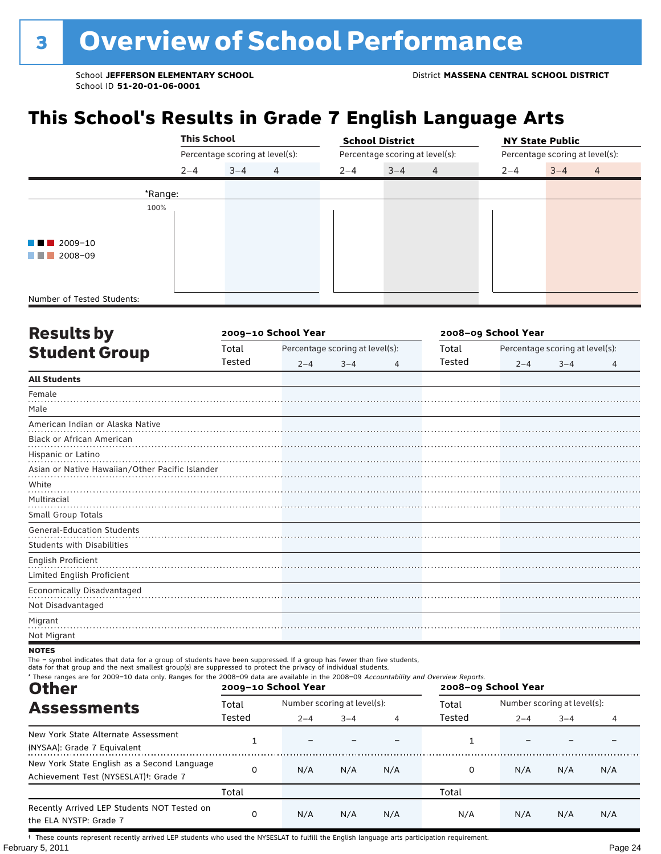## **This School's Results in Grade 7 English Language Arts**

|                            | <b>This School</b> |                                 |                |         | <b>School District</b>          |                | <b>NY State Public</b>          |         |                |  |
|----------------------------|--------------------|---------------------------------|----------------|---------|---------------------------------|----------------|---------------------------------|---------|----------------|--|
|                            |                    | Percentage scoring at level(s): |                |         | Percentage scoring at level(s): |                | Percentage scoring at level(s): |         |                |  |
|                            | $2 - 4$            | $3 - 4$                         | $\overline{4}$ | $2 - 4$ | $3 - 4$                         | $\overline{4}$ | $2 - 4$                         | $3 - 4$ | $\overline{4}$ |  |
|                            | *Range:            |                                 |                |         |                                 |                |                                 |         |                |  |
|                            | 100%               |                                 |                |         |                                 |                |                                 |         |                |  |
|                            |                    |                                 |                |         |                                 |                |                                 |         |                |  |
| $\blacksquare$ 2009-10     |                    |                                 |                |         |                                 |                |                                 |         |                |  |
| 2008-09<br>a katika        |                    |                                 |                |         |                                 |                |                                 |         |                |  |
|                            |                    |                                 |                |         |                                 |                |                                 |         |                |  |
|                            |                    |                                 |                |         |                                 |                |                                 |         |                |  |
| Number of Tested Students: |                    |                                 |                |         |                                 |                |                                 |         |                |  |

| <b>Results by</b>                               |        | 2009-10 School Year |                                 | 2008-09 School Year |        |         |                                 |   |
|-------------------------------------------------|--------|---------------------|---------------------------------|---------------------|--------|---------|---------------------------------|---|
| <b>Student Group</b>                            | Total  |                     | Percentage scoring at level(s): |                     | Total  |         | Percentage scoring at level(s): |   |
|                                                 | Tested | $2 - 4$             | $3 - 4$                         | 4                   | Tested | $2 - 4$ | $3 - 4$                         | 4 |
| <b>All Students</b>                             |        |                     |                                 |                     |        |         |                                 |   |
| Female                                          |        |                     |                                 |                     |        |         |                                 |   |
| Male                                            |        |                     |                                 |                     |        |         |                                 |   |
| American Indian or Alaska Native                |        |                     |                                 |                     |        |         |                                 |   |
| Black or African American                       |        |                     |                                 |                     |        |         |                                 |   |
| Hispanic or Latino                              |        |                     |                                 |                     |        |         |                                 |   |
| Asian or Native Hawaiian/Other Pacific Islander |        |                     |                                 |                     |        |         |                                 |   |
| White                                           |        |                     |                                 |                     |        |         |                                 |   |
| Multiracial                                     |        |                     |                                 |                     |        |         |                                 |   |
| Small Group Totals                              |        |                     |                                 |                     |        |         |                                 |   |
| <b>General-Education Students</b>               |        |                     |                                 |                     |        |         |                                 |   |
| Students with Disabilities                      |        |                     |                                 |                     |        |         |                                 |   |
| English Proficient                              |        |                     |                                 |                     |        |         |                                 |   |
| Limited English Proficient                      |        |                     |                                 |                     |        |         |                                 |   |
| <b>Economically Disadvantaged</b>               |        |                     |                                 |                     |        |         |                                 |   |
| Not Disadvantaged                               |        |                     |                                 |                     |        |         |                                 |   |
| Migrant                                         |        |                     |                                 |                     |        |         |                                 |   |
| Not Migrant                                     |        |                     |                                 |                     |        |         |                                 |   |

#### **NOTES**

The – symbol indicates that data for a group of students have been suppressed. If a group has fewer than five students,<br>data for that group and the next smallest group(s) are suppressed to protect the privacy of individual

| * These ranges are for 2009-10 data only. Ranges for the 2008-09 data are available in the 2008-09 Accountability and Overview Reports.<br><b>Other</b> |        | 2009-10 School Year         |         |     | 2008-09 School Year |                             |         |     |  |
|---------------------------------------------------------------------------------------------------------------------------------------------------------|--------|-----------------------------|---------|-----|---------------------|-----------------------------|---------|-----|--|
| <b>Assessments</b>                                                                                                                                      | Total  | Number scoring at level(s): |         |     | Total               | Number scoring at level(s): |         |     |  |
|                                                                                                                                                         | Tested | $2 - 4$                     | $3 - 4$ | 4   | Tested              | $2 - 4$                     | $3 - 4$ |     |  |
| New York State Alternate Assessment<br>(NYSAA): Grade 7 Equivalent                                                                                      |        |                             |         |     |                     |                             |         |     |  |
| New York State English as a Second Language<br>Achievement Test (NYSESLAT) <sup>+</sup> : Grade 7                                                       | 0      | N/A                         | N/A     | N/A |                     | N/A                         | N/A     | N/A |  |
|                                                                                                                                                         | Total  |                             |         |     | Total               |                             |         |     |  |
| Recently Arrived LEP Students NOT Tested on<br>the ELA NYSTP: Grade 7                                                                                   | 0      | N/A                         | N/A     | N/A | N/A                 | N/A                         | N/A     | N/A |  |

February 5, 2011 **Page 24** † These counts represent recently arrived LEP students who used the NYSESLAT to fulfill the English language arts participation requirement.